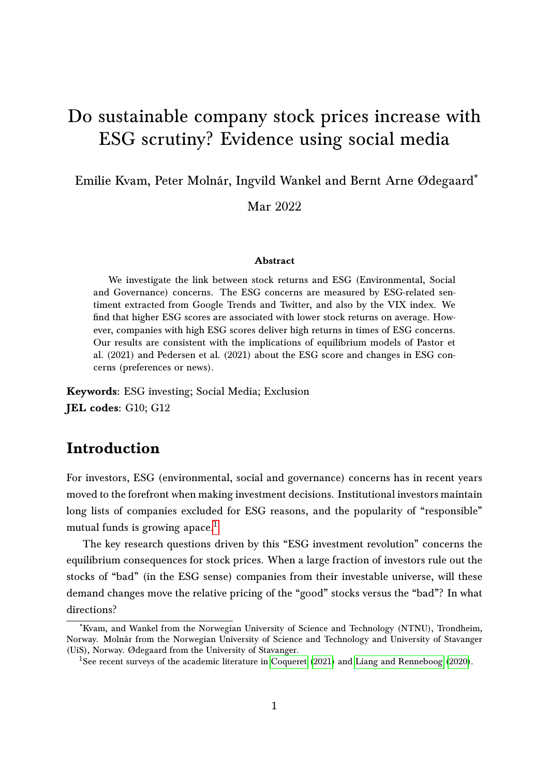# <span id="page-0-0"></span>Do sustainable company stock prices increase with ESG scrutiny? Evidence using social media

Emilie Kvam, Peter Molnár, Ingvild Wankel and Bernt Arne Ødegaard\*

Mar 2022

#### Abstract

We investigate the link between stock returns and ESG (Environmental, Social and Governance) concerns. The ESG concerns are measured by ESG-related sentiment extracted from Google Trends and Twitter, and also by the VIX index. We find that higher ESG scores are associated with lower stock returns on average. However, companies with high ESG scores deliver high returns in times of ESG concerns. Our results are consistent with the implications of equilibrium models of Pastor et al. (2021) and Pedersen et al. (2021) about the ESG score and changes in ESG concerns (preferences or news).

Keywords: ESG investing; Social Media; Exclusion JEL codes: G10; G12

# Introduction

For investors, ESG (environmental, social and governance) concerns has in recent years moved to the forefront when making investment decisions. Institutional investors maintain long lists of companies excluded for ESG reasons, and the popularity of "responsible" mutual funds is growing apace.<sup>1</sup>

The key research questions driven by this "ESG investment revolution" concerns the equilibrium consequences for stock prices. When a large fraction of investors rule out the stocks of "bad" (in the ESG sense) companies from their investable universe, will these demand changes move the relative pricing of the "good" stocks versus the "bad"? In what directions?

<sup>\*</sup>Kvam, and Wankel from the Norwegian University of Science and Technology (NTNU), Trondheim, Norway. Molnár from the Norwegian University of Science and Technology and University of Stavanger (UiS), Norway. Ødegaard from the University of Stavanger.

<sup>&</sup>lt;sup>1</sup>See recent surveys of the academic literature in [Coqueret](#page-20-0) [\(2021\)](#page-20-0) and [Liang and Renneboog](#page-22-0) [\(2020\)](#page-22-0).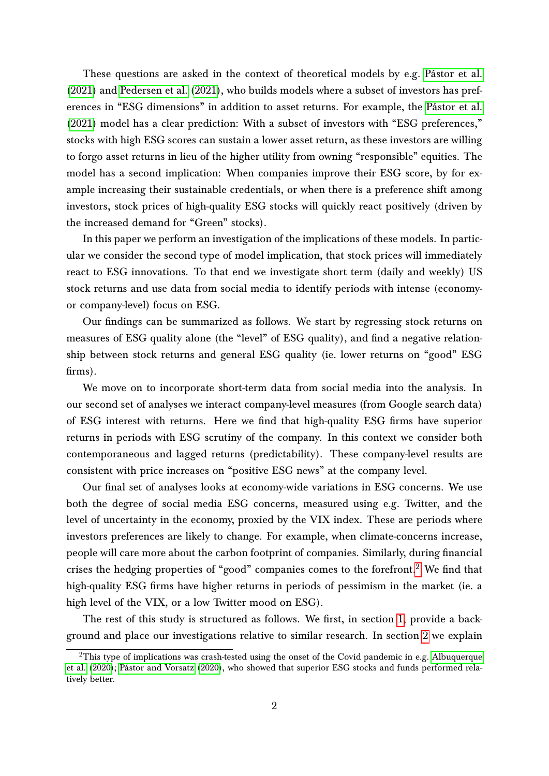These questions are asked in the context of theoretical models by e.g. [Pástor et al.](#page-22-1) [\(2021\)](#page-22-1) and [Pedersen et al.](#page-22-2) [\(2021\)](#page-22-2), who builds models where a subset of investors has preferences in "ESG dimensions" in addition to asset returns. For example, the [Pástor et al.](#page-22-1) [\(2021\)](#page-22-1) model has a clear prediction: With a subset of investors with "ESG preferences," stocks with high ESG scores can sustain a lower asset return, as these investors are willing to forgo asset returns in lieu of the higher utility from owning "responsible" equities. The model has a second implication: When companies improve their ESG score, by for example increasing their sustainable credentials, or when there is a preference shift among investors, stock prices of high-quality ESG stocks will quickly react positively (driven by the increased demand for "Green" stocks).

In this paper we perform an investigation of the implications of these models. In particular we consider the second type of model implication, that stock prices will immediately react to ESG innovations. To that end we investigate short term (daily and weekly) US stock returns and use data from social media to identify periods with intense (economyor company-level) focus on ESG.

Our findings can be summarized as follows. We start by regressing stock returns on measures of ESG quality alone (the "level" of ESG quality), and find a negative relationship between stock returns and general ESG quality (ie. lower returns on "good" ESG firms).

We move on to incorporate short-term data from social media into the analysis. In our second set of analyses we interact company-level measures (from Google search data) of ESG interest with returns. Here we find that high-quality ESG firms have superior returns in periods with ESG scrutiny of the company. In this context we consider both contemporaneous and lagged returns (predictability). These company-level results are consistent with price increases on "positive ESG news" at the company level.

Our final set of analyses looks at economy-wide variations in ESG concerns. We use both the degree of social media ESG concerns, measured using e.g. Twitter, and the level of uncertainty in the economy, proxied by the VIX index. These are periods where investors preferences are likely to change. For example, when climate-concerns increase, people will care more about the carbon footprint of companies. Similarly, during financial crises the hedging properties of "good" companies comes to the forefront.<sup>[2](#page-0-0)</sup> We find that high-quality ESG firms have higher returns in periods of pessimism in the market (ie. a high level of the VIX, or a low Twitter mood on ESG).

The rest of this study is structured as follows. We first, in section [1,](#page-2-0) provide a background and place our investigations relative to similar research. In section [2](#page-4-0) we explain

<sup>&</sup>lt;sup>2</sup>This type of implications was crash-tested using the onset of the Covid pandemic in e.g. [Albuquerque](#page-20-1) [et al.](#page-20-1) [\(2020\)](#page-20-1); [Pástor and Vorsatz](#page-22-3) [\(2020\)](#page-22-3), who showed that superior ESG stocks and funds performed relatively better.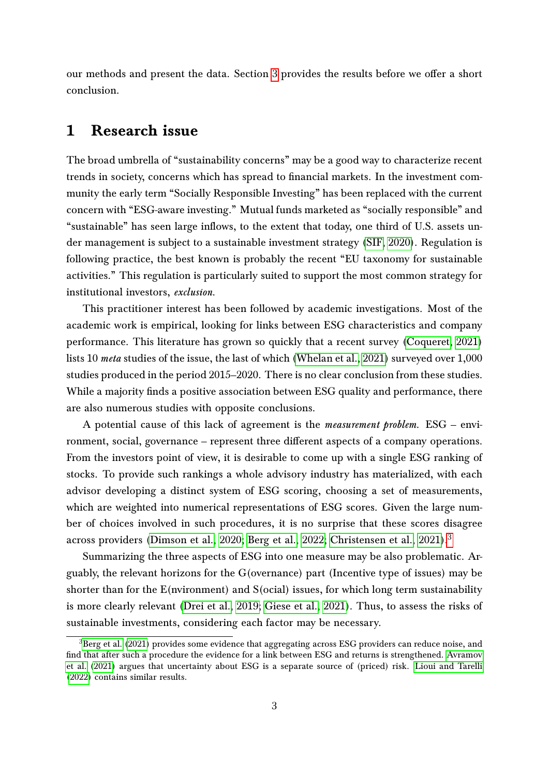our methods and present the data. Section [3](#page-10-0) provides the results before we offer a short conclusion.

#### <span id="page-2-0"></span>1 Research issue

The broad umbrella of "sustainability concerns" may be a good way to characterize recent trends in society, concerns which has spread to financial markets. In the investment community the early term "Socially Responsible Investing" has been replaced with the current concern with "ESG-aware investing." Mutual funds marketed as "socially responsible" and "sustainable" has seen large inflows, to the extent that today, one third of U.S. assets under management is subject to a sustainable investment strategy [\(SIF, 2020\)](#page-23-0). Regulation is following practice, the best known is probably the recent "EU taxonomy for sustainable activities." This regulation is particularly suited to support the most common strategy for institutional investors, exclusion.

This practitioner interest has been followed by academic investigations. Most of the academic work is empirical, looking for links between ESG characteristics and company performance. This literature has grown so quickly that a recent survey [\(Coqueret, 2021\)](#page-20-0) lists 10 meta studies of the issue, the last of which [\(Whelan et al., 2021\)](#page-23-1) surveyed over 1,000 studies produced in the period 2015–2020. There is no clear conclusion from these studies. While a majority finds a positive association between ESG quality and performance, there are also numerous studies with opposite conclusions.

A potential cause of this lack of agreement is the measurement problem. ESG – environment, social, governance – represent three different aspects of a company operations. From the investors point of view, it is desirable to come up with a single ESG ranking of stocks. To provide such rankings a whole advisory industry has materialized, with each advisor developing a distinct system of ESG scoring, choosing a set of measurements, which are weighted into numerical representations of ESG scores. Given the large number of choices involved in such procedures, it is no surprise that these scores disagree across providers [\(Dimson et al., 2020;](#page-21-0) [Berg et al., 2022;](#page-20-2) [Christensen et al., 2021\)](#page-20-3).<sup>[3](#page-0-0)</sup>

Summarizing the three aspects of ESG into one measure may be also problematic. Arguably, the relevant horizons for the G(overnance) part (Incentive type of issues) may be shorter than for the E(nvironment) and S(ocial) issues, for which long term sustainability is more clearly relevant [\(Drei et al., 2019;](#page-21-1) [Giese et al., 2021\)](#page-21-2). Thus, to assess the risks of sustainable investments, considering each factor may be necessary.

 ${}^{3}$ [Berg et al.](#page-20-4) [\(2021\)](#page-20-4) provides some evidence that aggregating across ESG providers can reduce noise, and find that after such a procedure the evidence for a link between ESG and returns is strengthened. [Avramov](#page-20-5) [et al.](#page-20-5) [\(2021\)](#page-20-5) argues that uncertainty about ESG is a separate source of (priced) risk. [Lioui and Tarelli](#page-22-4) [\(2022\)](#page-22-4) contains similar results.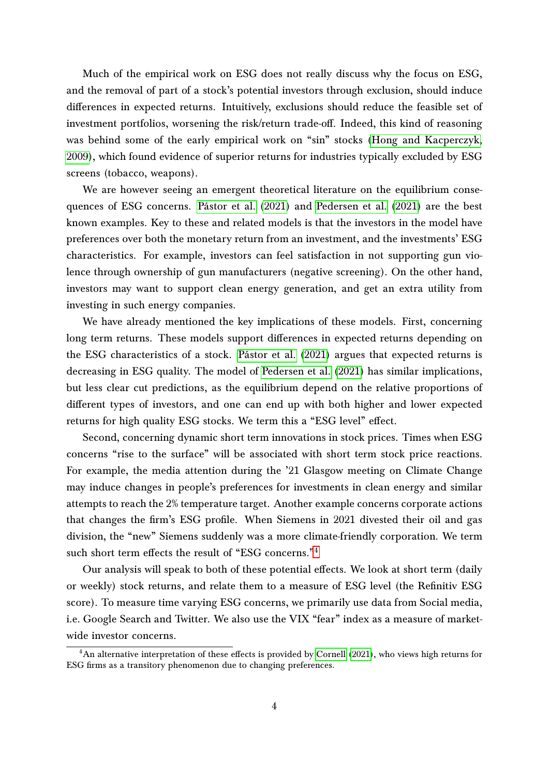Much of the empirical work on ESG does not really discuss why the focus on ESG, and the removal of part of a stock's potential investors through exclusion, should induce differences in expected returns. Intuitively, exclusions should reduce the feasible set of investment portfolios, worsening the risk/return trade-off. Indeed, this kind of reasoning was behind some of the early empirical work on "sin" stocks [\(Hong and Kacperczyk,](#page-21-3) [2009\)](#page-21-3), which found evidence of superior returns for industries typically excluded by ESG screens (tobacco, weapons).

We are however seeing an emergent theoretical literature on the equilibrium consequences of ESG concerns. [Pástor et al.](#page-22-1) [\(2021\)](#page-22-1) and [Pedersen et al.](#page-22-2) [\(2021\)](#page-22-2) are the best known examples. Key to these and related models is that the investors in the model have preferences over both the monetary return from an investment, and the investments' ESG characteristics. For example, investors can feel satisfaction in not supporting gun violence through ownership of gun manufacturers (negative screening). On the other hand, investors may want to support clean energy generation, and get an extra utility from investing in such energy companies.

We have already mentioned the key implications of these models. First, concerning long term returns. These models support differences in expected returns depending on the ESG characteristics of a stock. [Pástor et al.](#page-22-1) [\(2021\)](#page-22-1) argues that expected returns is decreasing in ESG quality. The model of [Pedersen et al.](#page-22-2) [\(2021\)](#page-22-2) has similar implications, but less clear cut predictions, as the equilibrium depend on the relative proportions of different types of investors, and one can end up with both higher and lower expected returns for high quality ESG stocks. We term this a "ESG level" effect.

Second, concerning dynamic short term innovations in stock prices. Times when ESG concerns "rise to the surface" will be associated with short term stock price reactions. For example, the media attention during the '21 Glasgow meeting on Climate Change may induce changes in people's preferences for investments in clean energy and similar attempts to reach the 2% temperature target. Another example concerns corporate actions that changes the firm's ESG profile. When Siemens in 2021 divested their oil and gas division, the "new" Siemens suddenly was a more climate-friendly corporation. We term such short term effects the result of "ESG concerns."<sup>[4](#page-0-0)</sup>

Our analysis will speak to both of these potential effects. We look at short term (daily or weekly) stock returns, and relate them to a measure of ESG level (the Refinitiv ESG score). To measure time varying ESG concerns, we primarily use data from Social media, i.e. Google Search and Twitter. We also use the VIX "fear" index as a measure of marketwide investor concerns.

 $4$ An alternative interpretation of these effects is provided by [Cornell](#page-21-4) [\(2021\)](#page-21-4), who views high returns for ESG firms as a transitory phenomenon due to changing preferences.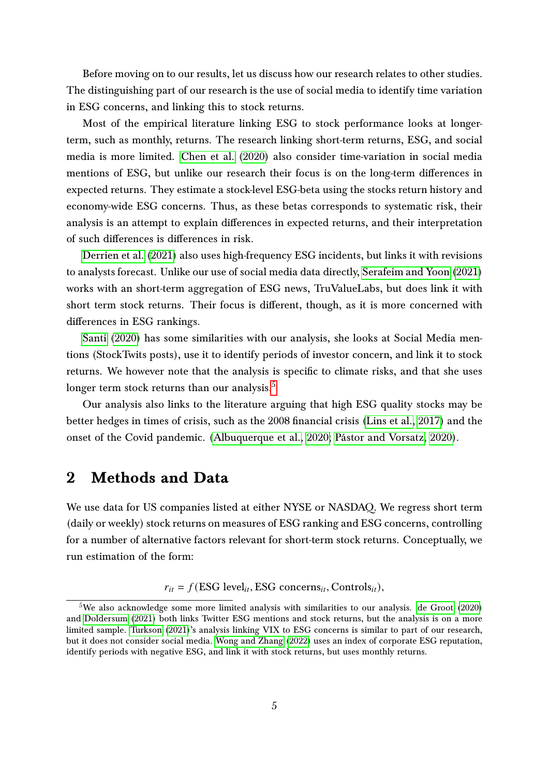Before moving on to our results, let us discuss how our research relates to other studies. The distinguishing part of our research is the use of social media to identify time variation in ESG concerns, and linking this to stock returns.

Most of the empirical literature linking ESG to stock performance looks at longerterm, such as monthly, returns. The research linking short-term returns, ESG, and social media is more limited. [Chen et al.](#page-20-6) [\(2020\)](#page-20-6) also consider time-variation in social media mentions of ESG, but unlike our research their focus is on the long-term differences in expected returns. They estimate a stock-level ESG-beta using the stocks return history and economy-wide ESG concerns. Thus, as these betas corresponds to systematic risk, their analysis is an attempt to explain differences in expected returns, and their interpretation of such differences is differences in risk.

[Derrien et al.](#page-21-5) [\(2021\)](#page-21-5) also uses high-frequency ESG incidents, but links it with revisions to analysts forecast. Unlike our use of social media data directly, [Serafeim and Yoon](#page-23-2) [\(2021\)](#page-23-2) works with an short-term aggregation of ESG news, TruValueLabs, but does link it with short term stock returns. Their focus is different, though, as it is more concerned with differences in ESG rankings.

[Santi](#page-23-3) [\(2020\)](#page-23-3) has some similarities with our analysis, she looks at Social Media mentions (StockTwits posts), use it to identify periods of investor concern, and link it to stock returns. We however note that the analysis is specific to climate risks, and that she uses longer term stock returns than our analysis. $5$ 

Our analysis also links to the literature arguing that high ESG quality stocks may be better hedges in times of crisis, such as the 2008 financial crisis [\(Lins et al., 2017\)](#page-22-5) and the onset of the Covid pandemic. [\(Albuquerque et al., 2020;](#page-20-1) [Pástor and Vorsatz, 2020\)](#page-22-3).

## <span id="page-4-0"></span>2 Methods and Data

We use data for US companies listed at either NYSE or NASDAQ. We regress short term (daily or weekly) stock returns on measures of ESG ranking and ESG concerns, controlling for a number of alternative factors relevant for short-term stock returns. Conceptually, we run estimation of the form:

 $r_{it} = f(ESG level_{it}, ESG concerns_{it}, Controls_{it}),$ 

<sup>&</sup>lt;sup>5</sup>We also acknowledge some more limited analysis with similarities to our analysis. [de Groot](#page-21-6)  $(2020)$ and [Doldersum](#page-21-7) [\(2021\)](#page-21-7) both links Twitter ESG mentions and stock returns, but the analysis is on a more limited sample. [Turkson](#page-23-4) [\(2021\)](#page-23-4)'s analysis linking VIX to ESG concerns is similar to part of our research, but it does not consider social media. [Wong and Zhang](#page-23-5) [\(2022\)](#page-23-5) uses an index of corporate ESG reputation, identify periods with negative ESG, and link it with stock returns, but uses monthly returns.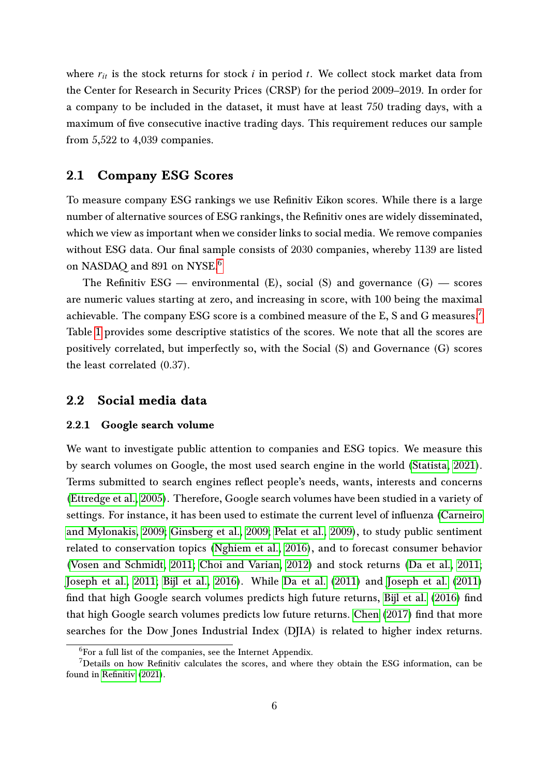where  $r_{it}$  is the stock returns for stock *i* in period *t*. We collect stock market data from the Center for Research in Security Prices (CRSP) for the period 2009–2019. In order for a company to be included in the dataset, it must have at least 750 trading days, with a maximum of five consecutive inactive trading days. This requirement reduces our sample from 5,522 to 4,039 companies.

#### 2.1 Company ESG Scores

To measure company ESG rankings we use Refinitiv Eikon scores. While there is a large number of alternative sources of ESG rankings, the Refinitiv ones are widely disseminated, which we view as important when we consider links to social media. We remove companies without ESG data. Our final sample consists of 2030 companies, whereby 1139 are listed on NASDAQ and 891 on NYSE.<sup>[6](#page-0-0)</sup>

The Refinitiv ESG — environmental  $(E)$ , social  $(S)$  and governance  $(G)$  — scores are numeric values starting at zero, and increasing in score, with 100 being the maximal achievable. The company ESG score is a combined measure of the E, S and G measures.<sup>[7](#page-0-0)</sup> Table [1](#page-24-0) provides some descriptive statistics of the scores. We note that all the scores are positively correlated, but imperfectly so, with the Social (S) and Governance (G) scores the least correlated (0.37).

#### 2.2 Social media data

#### 2.2.1 Google search volume

We want to investigate public attention to companies and ESG topics. We measure this by search volumes on Google, the most used search engine in the world [\(Statista, 2021\)](#page-23-6). Terms submitted to search engines reflect people's needs, wants, interests and concerns [\(Ettredge et al., 2005\)](#page-21-8). Therefore, Google search volumes have been studied in a variety of settings. For instance, it has been used to estimate the current level of influenza [\(Carneiro](#page-20-7) [and Mylonakis, 2009;](#page-20-7) [Ginsberg et al., 2009;](#page-21-9) [Pelat et al., 2009\)](#page-22-6), to study public sentiment related to conservation topics [\(Nghiem et al., 2016\)](#page-22-7), and to forecast consumer behavior [\(Vosen and Schmidt, 2011;](#page-23-7) [Choi and Varian, 2012\)](#page-20-8) and stock returns [\(Da et al., 2011;](#page-21-10) [Joseph et al., 2011;](#page-22-8) [Bijl et al., 2016\)](#page-20-9). While [Da et al.](#page-21-10) [\(2011\)](#page-21-10) and [Joseph et al.](#page-22-8) [\(2011\)](#page-22-8) find that high Google search volumes predicts high future returns, [Bijl et al.](#page-20-9) [\(2016\)](#page-20-9) find that high Google search volumes predicts low future returns. [Chen](#page-20-10) [\(2017\)](#page-20-10) find that more searches for the Dow Jones Industrial Index (DJIA) is related to higher index returns.

 ${}^{6}$ For a full list of the companies, see the Internet Appendix.

<sup>7</sup>Details on how Refinitiv calculates the scores, and where they obtain the ESG information, can be found in [Refinitiv](#page-22-9) [\(2021\)](#page-22-9).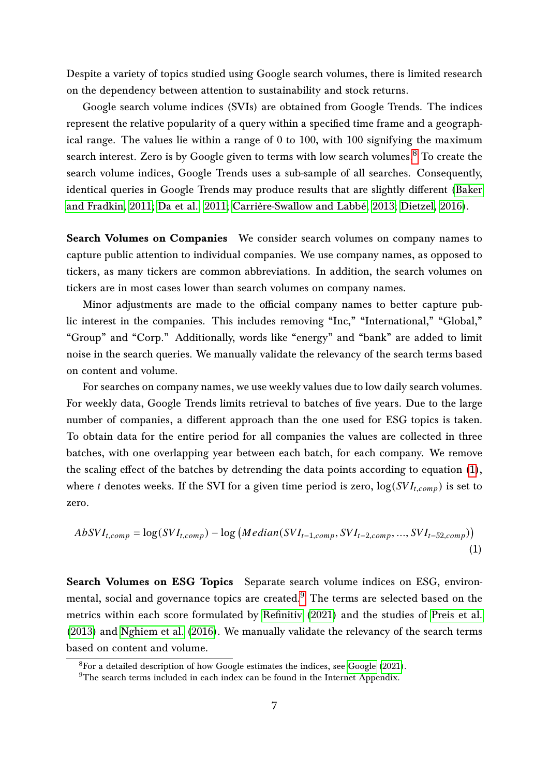Despite a variety of topics studied using Google search volumes, there is limited research on the dependency between attention to sustainability and stock returns.

Google search volume indices (SVIs) are obtained from Google Trends. The indices represent the relative popularity of a query within a specified time frame and a geographical range. The values lie within a range of 0 to 100, with 100 signifying the maximum search interest. Zero is by Google given to terms with low search volumes.<sup>[8](#page-0-0)</sup> To create the search volume indices, Google Trends uses a sub-sample of all searches. Consequently, identical queries in Google Trends may produce results that are slightly different [\(Baker](#page-20-11) [and Fradkin, 2011;](#page-20-11) [Da et al., 2011;](#page-21-10) [Carrière-Swallow and Labbé, 2013;](#page-20-12) [Dietzel, 2016\)](#page-21-11).

Search Volumes on Companies We consider search volumes on company names to capture public attention to individual companies. We use company names, as opposed to tickers, as many tickers are common abbreviations. In addition, the search volumes on tickers are in most cases lower than search volumes on company names.

Minor adjustments are made to the official company names to better capture public interest in the companies. This includes removing "Inc," "International," "Global," "Group" and "Corp." Additionally, words like "energy" and "bank" are added to limit noise in the search queries. We manually validate the relevancy of the search terms based on content and volume.

For searches on company names, we use weekly values due to low daily search volumes. For weekly data, Google Trends limits retrieval to batches of five years. Due to the large number of companies, a different approach than the one used for ESG topics is taken. To obtain data for the entire period for all companies the values are collected in three batches, with one overlapping year between each batch, for each company. We remove the scaling effect of the batches by detrending the data points according to equation  $(1)$ , where t denotes weeks. If the SVI for a given time period is zero,  $log(SVI_{t,comp})$  is set to zero.

<span id="page-6-0"></span>
$$
AbsVI_{t,comp} = \log(SVI_{t,comp}) - \log(Median(SVI_{t-1,comp}, SVI_{t-2,comp}, ..., SVI_{t-52,comp}))
$$
\n(1)

Search Volumes on ESG Topics Separate search volume indices on ESG, environmental, social and governance topics are created. $9$  The terms are selected based on the metrics within each score formulated by [Refinitiv](#page-22-9) [\(2021\)](#page-22-9) and the studies of [Preis et al.](#page-22-10) [\(2013\)](#page-22-10) and [Nghiem et al.](#page-22-7) [\(2016\)](#page-22-7). We manually validate the relevancy of the search terms based on content and volume.

<sup>8</sup>For a detailed description of how Google estimates the indices, see [Google](#page-21-12) [\(2021\)](#page-21-12).

 $9$ The search terms included in each index can be found in the Internet Appendix.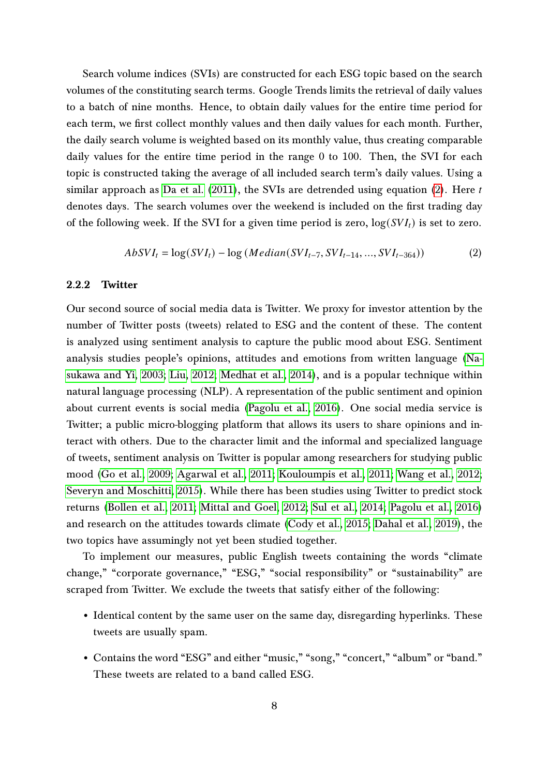Search volume indices (SVIs) are constructed for each ESG topic based on the search volumes of the constituting search terms. Google Trends limits the retrieval of daily values to a batch of nine months. Hence, to obtain daily values for the entire time period for each term, we first collect monthly values and then daily values for each month. Further, the daily search volume is weighted based on its monthly value, thus creating comparable daily values for the entire time period in the range 0 to 100. Then, the SVI for each topic is constructed taking the average of all included search term's daily values. Using a similar approach as [Da et al.](#page-21-10)  $(2011)$ , the SVIs are detrended using equation  $(2)$ . Here t denotes days. The search volumes over the weekend is included on the first trading day of the following week. If the SVI for a given time period is zero,  $log(SVI_t)$  is set to zero.

<span id="page-7-0"></span>
$$
AbsVI_t = \log(SVI_t) - \log(Median(SVI_{t-7}, SVI_{t-14}, ..., SVI_{t-364}))
$$
 (2)

#### 2.2.2 Twitter

Our second source of social media data is Twitter. We proxy for investor attention by the number of Twitter posts (tweets) related to ESG and the content of these. The content is analyzed using sentiment analysis to capture the public mood about ESG. Sentiment analysis studies people's opinions, attitudes and emotions from written language [\(Na](#page-22-11)[sukawa and Yi, 2003;](#page-22-11) [Liu, 2012;](#page-22-12) [Medhat et al., 2014\)](#page-22-13), and is a popular technique within natural language processing (NLP). A representation of the public sentiment and opinion about current events is social media [\(Pagolu et al., 2016\)](#page-22-14). One social media service is Twitter; a public micro-blogging platform that allows its users to share opinions and interact with others. Due to the character limit and the informal and specialized language of tweets, sentiment analysis on Twitter is popular among researchers for studying public mood [\(Go et al., 2009;](#page-21-13) [Agarwal et al., 2011;](#page-20-13) [Kouloumpis et al., 2011;](#page-22-15) [Wang et al., 2012;](#page-23-8) [Severyn and Moschitti, 2015\)](#page-23-9). While there has been studies using Twitter to predict stock returns [\(Bollen et al., 2011;](#page-20-14) [Mittal and Goel, 2012;](#page-22-16) [Sul et al., 2014;](#page-23-10) [Pagolu et al., 2016\)](#page-22-14) and research on the attitudes towards climate [\(Cody et al., 2015;](#page-20-15) [Dahal et al., 2019\)](#page-21-14), the two topics have assumingly not yet been studied together.

To implement our measures, public English tweets containing the words "climate change," "corporate governance," "ESG," "social responsibility" or "sustainability" are scraped from Twitter. We exclude the tweets that satisfy either of the following:

- Identical content by the same user on the same day, disregarding hyperlinks. These tweets are usually spam.
- Contains the word "ESG" and either "music," "song," "concert," "album" or "band." These tweets are related to a band called ESG.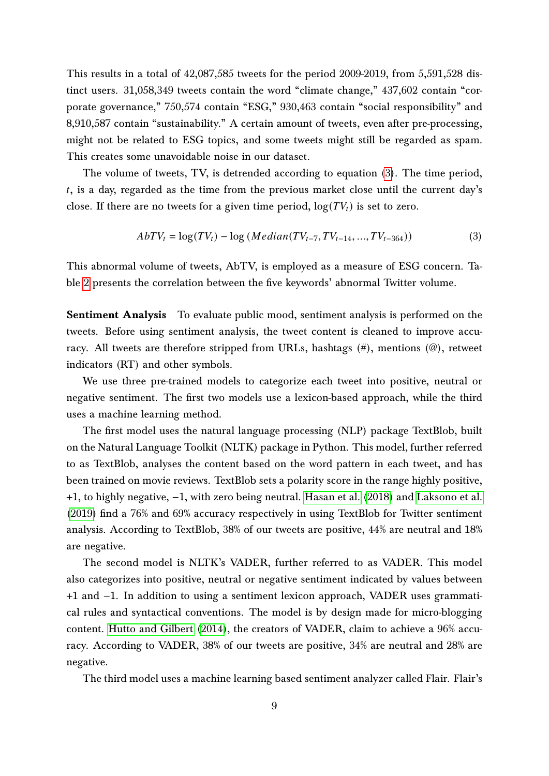This results in a total of 42,087,585 tweets for the period 2009-2019, from 5,591,528 distinct users. 31,058,349 tweets contain the word "climate change," 437,602 contain "corporate governance," 750,574 contain "ESG," 930,463 contain "social responsibility" and 8,910,587 contain "sustainability." A certain amount of tweets, even after pre-processing, might not be related to ESG topics, and some tweets might still be regarded as spam. This creates some unavoidable noise in our dataset.

The volume of tweets, TV, is detrended according to equation [\(3\)](#page-8-0). The time period, , is a day, regarded as the time from the previous market close until the current day's close. If there are no tweets for a given time period,  $log(TV_t)$  is set to zero.

<span id="page-8-0"></span>
$$
AbTV_t = \log(TV_t) - \log (Median(TV_{t-7}, TV_{t-14}, ..., TV_{t-364}))
$$
\n(3)

This abnormal volume of tweets, AbTV, is employed as a measure of ESG concern. Table [2](#page-25-0) presents the correlation between the five keywords' abnormal Twitter volume.

Sentiment Analysis To evaluate public mood, sentiment analysis is performed on the tweets. Before using sentiment analysis, the tweet content is cleaned to improve accuracy. All tweets are therefore stripped from URLs, hashtags (#), mentions (@), retweet indicators (RT) and other symbols.

We use three pre-trained models to categorize each tweet into positive, neutral or negative sentiment. The first two models use a lexicon-based approach, while the third uses a machine learning method.

The first model uses the natural language processing (NLP) package TextBlob, built on the Natural Language Toolkit (NLTK) package in Python. This model, further referred to as TextBlob, analyses the content based on the word pattern in each tweet, and has been trained on movie reviews. TextBlob sets a polarity score in the range highly positive, +1, to highly negative, −1, with zero being neutral. [Hasan et al.](#page-21-15) [\(2018\)](#page-21-15) and [Laksono et al.](#page-22-17) [\(2019\)](#page-22-17) find a 76% and 69% accuracy respectively in using TextBlob for Twitter sentiment analysis. According to TextBlob, 38% of our tweets are positive, 44% are neutral and 18% are negative.

The second model is NLTK's VADER, further referred to as VADER. This model also categorizes into positive, neutral or negative sentiment indicated by values between +1 and −1. In addition to using a sentiment lexicon approach, VADER uses grammatical rules and syntactical conventions. The model is by design made for micro-blogging content. [Hutto and Gilbert](#page-22-18) [\(2014\)](#page-22-18), the creators of VADER, claim to achieve a 96% accuracy. According to VADER, 38% of our tweets are positive, 34% are neutral and 28% are negative.

The third model uses a machine learning based sentiment analyzer called Flair. Flair's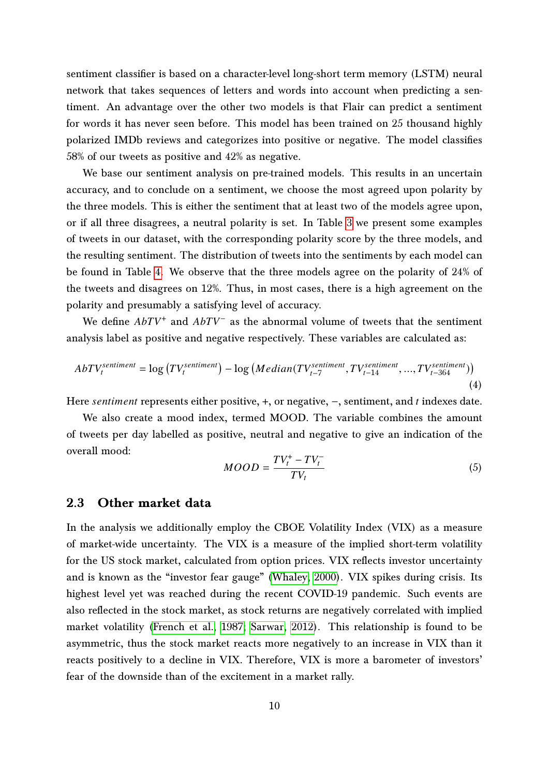sentiment classifier is based on a character-level long-short term memory (LSTM) neural network that takes sequences of letters and words into account when predicting a sentiment. An advantage over the other two models is that Flair can predict a sentiment for words it has never seen before. This model has been trained on 25 thousand highly polarized IMDb reviews and categorizes into positive or negative. The model classifies 58% of our tweets as positive and 42% as negative.

We base our sentiment analysis on pre-trained models. This results in an uncertain accuracy, and to conclude on a sentiment, we choose the most agreed upon polarity by the three models. This is either the sentiment that at least two of the models agree upon, or if all three disagrees, a neutral polarity is set. In Table [3](#page-26-0) we present some examples of tweets in our dataset, with the corresponding polarity score by the three models, and the resulting sentiment. The distribution of tweets into the sentiments by each model can be found in Table [4.](#page-27-0) We observe that the three models agree on the polarity of 24% of the tweets and disagrees on 12%. Thus, in most cases, there is a high agreement on the polarity and presumably a satisfying level of accuracy.

We define  $AbTV^+$  and  $AbTV^-$  as the abnormal volume of tweets that the sentiment analysis label as positive and negative respectively. These variables are calculated as:

$$
AbTV_t^{sentiment} = \log \left( TV_t^{sentiment} \right) - \log \left( Median(TV_{t-7}^{sentiment}, TV_{t-14}^{sentiment}, ..., TV_{t-364}^{sentiment}) \right)
$$
\n
$$
\tag{4}
$$

Here *sentiment* represents either positive,  $+$ , or negative,  $-$ , sentiment, and *t* indexes date.

We also create a mood index, termed MOOD. The variable combines the amount of tweets per day labelled as positive, neutral and negative to give an indication of the overall mood:

$$
MOOD = \frac{TV_t^+ - TV_t^-}{TV_t} \tag{5}
$$

#### 2.3 Other market data

In the analysis we additionally employ the CBOE Volatility Index (VIX) as a measure of market-wide uncertainty. The VIX is a measure of the implied short-term volatility for the US stock market, calculated from option prices. VIX reflects investor uncertainty and is known as the "investor fear gauge" [\(Whaley, 2000\)](#page-23-11). VIX spikes during crisis. Its highest level yet was reached during the recent COVID-19 pandemic. Such events are also reflected in the stock market, as stock returns are negatively correlated with implied market volatility [\(French et al., 1987;](#page-21-16) [Sarwar, 2012\)](#page-23-12). This relationship is found to be asymmetric, thus the stock market reacts more negatively to an increase in VIX than it reacts positively to a decline in VIX. Therefore, VIX is more a barometer of investors' fear of the downside than of the excitement in a market rally.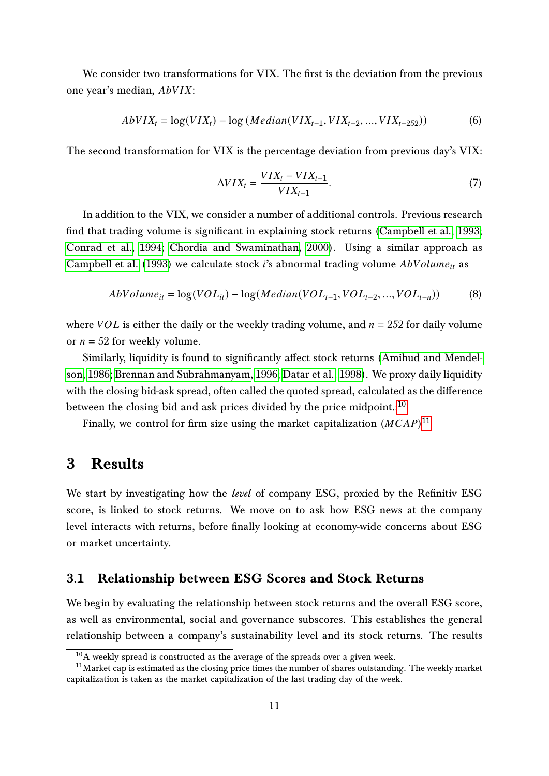We consider two transformations for VIX. The first is the deviation from the previous one year's median,  $AbVIX$ :

$$
AbVIX_t = \log(VIX_t) - \log (Median(VIX_{t-1},VIX_{t-2},...,VIX_{t-252}))
$$
 (6)

The second transformation for VIX is the percentage deviation from previous day's VIX:

$$
\Delta VIX_t = \frac{VIX_t - VIX_{t-1}}{VIX_{t-1}}.\tag{7}
$$

In addition to the VIX, we consider a number of additional controls. Previous research find that trading volume is significant in explaining stock returns [\(Campbell et al., 1993;](#page-20-16) [Conrad et al., 1994;](#page-20-17) [Chordia and Swaminathan, 2000\)](#page-20-18). Using a similar approach as [Campbell et al.](#page-20-16) [\(1993\)](#page-20-16) we calculate stock *i*'s abnormal trading volume  $AbVolume_{it}$  as

$$
AbVolume_{it} = \log(VOL_{it}) - \log(Median(VOL_{t-1}, VOL_{t-2}, ..., VOL_{t-n}))
$$
\n(8)

where  $VOL$  is either the daily or the weekly trading volume, and  $n = 252$  for daily volume or  $n = 52$  for weekly volume.

Similarly, liquidity is found to significantly affect stock returns [\(Amihud and Mendel](#page-20-19)[son, 1986;](#page-20-19) [Brennan and Subrahmanyam, 1996;](#page-20-20) [Datar et al., 1998\)](#page-21-17). We proxy daily liquidity with the closing bid-ask spread, often called the quoted spread, calculated as the difference between the closing bid and ask prices divided by the price midpoint.: $10$ 

Finally, we control for firm size using the market capitalization  $(MCAP)^{11}$  $(MCAP)^{11}$  $(MCAP)^{11}$ 

## <span id="page-10-0"></span>3 Results

We start by investigating how the *level* of company ESG, proxied by the Refinitiv ESG score, is linked to stock returns. We move on to ask how ESG news at the company level interacts with returns, before finally looking at economy-wide concerns about ESG or market uncertainty.

#### 3.1 Relationship between ESG Scores and Stock Returns

We begin by evaluating the relationship between stock returns and the overall ESG score, as well as environmental, social and governance subscores. This establishes the general relationship between a company's sustainability level and its stock returns. The results

 $10A$  weekly spread is constructed as the average of the spreads over a given week.

<sup>&</sup>lt;sup>11</sup>Market cap is estimated as the closing price times the number of shares outstanding. The weekly market capitalization is taken as the market capitalization of the last trading day of the week.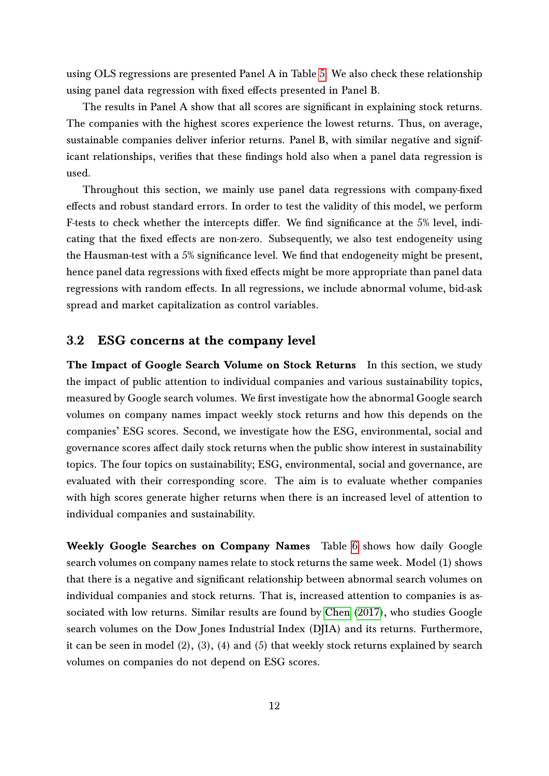using OLS regressions are presented Panel A in Table [5.](#page-28-0) We also check these relationship using panel data regression with fixed effects presented in Panel B.

The results in Panel A show that all scores are significant in explaining stock returns. The companies with the highest scores experience the lowest returns. Thus, on average, sustainable companies deliver inferior returns. Panel B, with similar negative and significant relationships, verifies that these findings hold also when a panel data regression is used.

Throughout this section, we mainly use panel data regressions with company-fixed effects and robust standard errors. In order to test the validity of this model, we perform F-tests to check whether the intercepts differ. We find significance at the 5% level, indicating that the fixed effects are non-zero. Subsequently, we also test endogeneity using the Hausman-test with a 5% significance level. We find that endogeneity might be present, hence panel data regressions with fixed effects might be more appropriate than panel data regressions with random effects. In all regressions, we include abnormal volume, bid-ask spread and market capitalization as control variables.

#### 3.2 ESG concerns at the company level

The Impact of Google Search Volume on Stock Returns In this section, we study the impact of public attention to individual companies and various sustainability topics, measured by Google search volumes. We first investigate how the abnormal Google search volumes on company names impact weekly stock returns and how this depends on the companies' ESG scores. Second, we investigate how the ESG, environmental, social and governance scores affect daily stock returns when the public show interest in sustainability topics. The four topics on sustainability; ESG, environmental, social and governance, are evaluated with their corresponding score. The aim is to evaluate whether companies with high scores generate higher returns when there is an increased level of attention to individual companies and sustainability.

Weekly Google Searches on Company Names Table [6](#page-29-0) shows how daily Google search volumes on company names relate to stock returns the same week. Model (1) shows that there is a negative and significant relationship between abnormal search volumes on individual companies and stock returns. That is, increased attention to companies is associated with low returns. Similar results are found by [Chen](#page-20-10) [\(2017\)](#page-20-10), who studies Google search volumes on the Dow Jones Industrial Index (DJIA) and its returns. Furthermore, it can be seen in model  $(2)$ ,  $(3)$ ,  $(4)$  and  $(5)$  that weekly stock returns explained by search volumes on companies do not depend on ESG scores.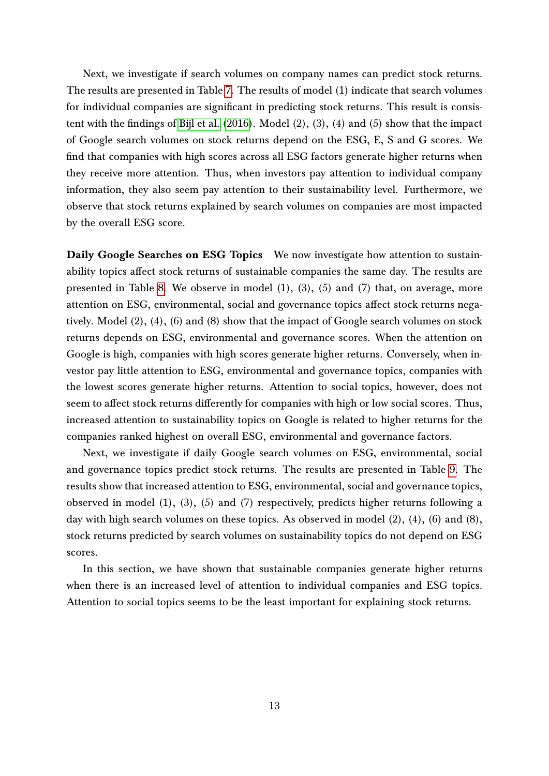Next, we investigate if search volumes on company names can predict stock returns. The results are presented in Table [7.](#page-30-0) The results of model (1) indicate that search volumes for individual companies are significant in predicting stock returns. This result is consistent with the findings of [Bijl et al.](#page-20-9) [\(2016\)](#page-20-9). Model (2), (3), (4) and (5) show that the impact of Google search volumes on stock returns depend on the ESG, E, S and G scores. We find that companies with high scores across all ESG factors generate higher returns when they receive more attention. Thus, when investors pay attention to individual company information, they also seem pay attention to their sustainability level. Furthermore, we observe that stock returns explained by search volumes on companies are most impacted by the overall ESG score.

Daily Google Searches on ESG Topics We now investigate how attention to sustainability topics affect stock returns of sustainable companies the same day. The results are presented in Table [8.](#page-31-0) We observe in model  $(1)$ ,  $(3)$ ,  $(5)$  and  $(7)$  that, on average, more attention on ESG, environmental, social and governance topics affect stock returns negatively. Model (2), (4), (6) and (8) show that the impact of Google search volumes on stock returns depends on ESG, environmental and governance scores. When the attention on Google is high, companies with high scores generate higher returns. Conversely, when investor pay little attention to ESG, environmental and governance topics, companies with the lowest scores generate higher returns. Attention to social topics, however, does not seem to affect stock returns differently for companies with high or low social scores. Thus, increased attention to sustainability topics on Google is related to higher returns for the companies ranked highest on overall ESG, environmental and governance factors.

Next, we investigate if daily Google search volumes on ESG, environmental, social and governance topics predict stock returns. The results are presented in Table [9.](#page-32-0) The results show that increased attention to ESG, environmental, social and governance topics, observed in model (1), (3), (5) and (7) respectively, predicts higher returns following a day with high search volumes on these topics. As observed in model (2), (4), (6) and (8), stock returns predicted by search volumes on sustainability topics do not depend on ESG scores.

In this section, we have shown that sustainable companies generate higher returns when there is an increased level of attention to individual companies and ESG topics. Attention to social topics seems to be the least important for explaining stock returns.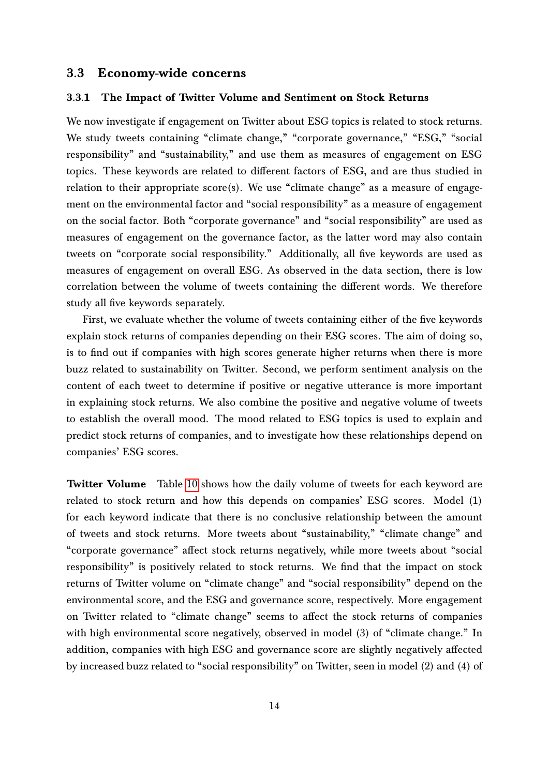#### 3.3 Economy-wide concerns

#### 3.3.1 The Impact of Twitter Volume and Sentiment on Stock Returns

We now investigate if engagement on Twitter about ESG topics is related to stock returns. We study tweets containing "climate change," "corporate governance," "ESG," "social responsibility" and "sustainability," and use them as measures of engagement on ESG topics. These keywords are related to different factors of ESG, and are thus studied in relation to their appropriate score(s). We use "climate change" as a measure of engagement on the environmental factor and "social responsibility" as a measure of engagement on the social factor. Both "corporate governance" and "social responsibility" are used as measures of engagement on the governance factor, as the latter word may also contain tweets on "corporate social responsibility." Additionally, all five keywords are used as measures of engagement on overall ESG. As observed in the data section, there is low correlation between the volume of tweets containing the different words. We therefore study all five keywords separately.

First, we evaluate whether the volume of tweets containing either of the five keywords explain stock returns of companies depending on their ESG scores. The aim of doing so, is to find out if companies with high scores generate higher returns when there is more buzz related to sustainability on Twitter. Second, we perform sentiment analysis on the content of each tweet to determine if positive or negative utterance is more important in explaining stock returns. We also combine the positive and negative volume of tweets to establish the overall mood. The mood related to ESG topics is used to explain and predict stock returns of companies, and to investigate how these relationships depend on companies' ESG scores.

Twitter Volume Table [10](#page-33-0) shows how the daily volume of tweets for each keyword are related to stock return and how this depends on companies' ESG scores. Model (1) for each keyword indicate that there is no conclusive relationship between the amount of tweets and stock returns. More tweets about "sustainability," "climate change" and "corporate governance" affect stock returns negatively, while more tweets about "social responsibility" is positively related to stock returns. We find that the impact on stock returns of Twitter volume on "climate change" and "social responsibility" depend on the environmental score, and the ESG and governance score, respectively. More engagement on Twitter related to "climate change" seems to affect the stock returns of companies with high environmental score negatively, observed in model (3) of "climate change." In addition, companies with high ESG and governance score are slightly negatively affected by increased buzz related to "social responsibility" on Twitter, seen in model (2) and (4) of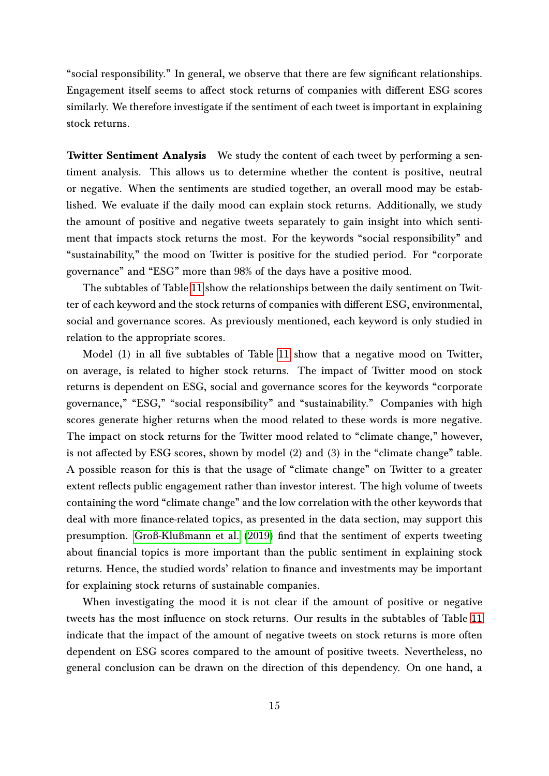"social responsibility." In general, we observe that there are few significant relationships. Engagement itself seems to affect stock returns of companies with different ESG scores similarly. We therefore investigate if the sentiment of each tweet is important in explaining stock returns.

Twitter Sentiment Analysis We study the content of each tweet by performing a sentiment analysis. This allows us to determine whether the content is positive, neutral or negative. When the sentiments are studied together, an overall mood may be established. We evaluate if the daily mood can explain stock returns. Additionally, we study the amount of positive and negative tweets separately to gain insight into which sentiment that impacts stock returns the most. For the keywords "social responsibility" and "sustainability," the mood on Twitter is positive for the studied period. For "corporate governance" and "ESG" more than 98% of the days have a positive mood.

The subtables of Table [11](#page-34-0) show the relationships between the daily sentiment on Twitter of each keyword and the stock returns of companies with different ESG, environmental, social and governance scores. As previously mentioned, each keyword is only studied in relation to the appropriate scores.

Model (1) in all five subtables of Table [11](#page-34-0) show that a negative mood on Twitter, on average, is related to higher stock returns. The impact of Twitter mood on stock returns is dependent on ESG, social and governance scores for the keywords "corporate governance," "ESG," "social responsibility" and "sustainability." Companies with high scores generate higher returns when the mood related to these words is more negative. The impact on stock returns for the Twitter mood related to "climate change," however, is not affected by ESG scores, shown by model  $(2)$  and  $(3)$  in the "climate change" table. A possible reason for this is that the usage of "climate change" on Twitter to a greater extent reflects public engagement rather than investor interest. The high volume of tweets containing the word "climate change" and the low correlation with the other keywords that deal with more finance-related topics, as presented in the data section, may support this presumption. [Groß-Klußmann et al.](#page-21-18) [\(2019\)](#page-21-18) find that the sentiment of experts tweeting about financial topics is more important than the public sentiment in explaining stock returns. Hence, the studied words' relation to finance and investments may be important for explaining stock returns of sustainable companies.

When investigating the mood it is not clear if the amount of positive or negative tweets has the most influence on stock returns. Our results in the subtables of Table [11](#page-34-0) indicate that the impact of the amount of negative tweets on stock returns is more often dependent on ESG scores compared to the amount of positive tweets. Nevertheless, no general conclusion can be drawn on the direction of this dependency. On one hand, a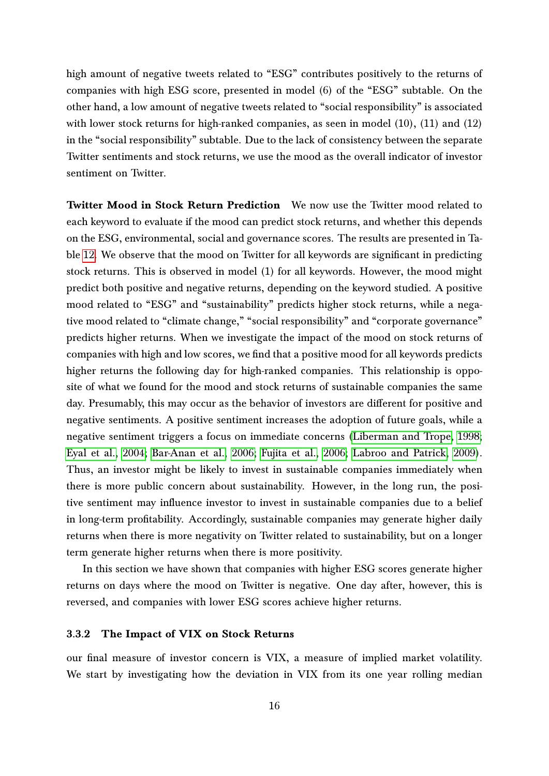high amount of negative tweets related to "ESG" contributes positively to the returns of companies with high ESG score, presented in model (6) of the "ESG" subtable. On the other hand, a low amount of negative tweets related to "social responsibility" is associated with lower stock returns for high-ranked companies, as seen in model (10), (11) and (12) in the "social responsibility" subtable. Due to the lack of consistency between the separate Twitter sentiments and stock returns, we use the mood as the overall indicator of investor sentiment on Twitter.

Twitter Mood in Stock Return Prediction We now use the Twitter mood related to each keyword to evaluate if the mood can predict stock returns, and whether this depends on the ESG, environmental, social and governance scores. The results are presented in Table [12.](#page-39-0) We observe that the mood on Twitter for all keywords are significant in predicting stock returns. This is observed in model (1) for all keywords. However, the mood might predict both positive and negative returns, depending on the keyword studied. A positive mood related to "ESG" and "sustainability" predicts higher stock returns, while a negative mood related to "climate change," "social responsibility" and "corporate governance" predicts higher returns. When we investigate the impact of the mood on stock returns of companies with high and low scores, we find that a positive mood for all keywords predicts higher returns the following day for high-ranked companies. This relationship is opposite of what we found for the mood and stock returns of sustainable companies the same day. Presumably, this may occur as the behavior of investors are different for positive and negative sentiments. A positive sentiment increases the adoption of future goals, while a negative sentiment triggers a focus on immediate concerns [\(Liberman and Trope, 1998;](#page-22-19) [Eyal et al., 2004;](#page-21-19) [Bar-Anan et al., 2006;](#page-20-21) [Fujita et al., 2006;](#page-21-20) [Labroo and Patrick, 2009\)](#page-22-20). Thus, an investor might be likely to invest in sustainable companies immediately when there is more public concern about sustainability. However, in the long run, the positive sentiment may influence investor to invest in sustainable companies due to a belief in long-term profitability. Accordingly, sustainable companies may generate higher daily returns when there is more negativity on Twitter related to sustainability, but on a longer term generate higher returns when there is more positivity.

In this section we have shown that companies with higher ESG scores generate higher returns on days where the mood on Twitter is negative. One day after, however, this is reversed, and companies with lower ESG scores achieve higher returns.

#### 3.3.2 The Impact of VIX on Stock Returns

our final measure of investor concern is VIX, a measure of implied market volatility. We start by investigating how the deviation in VIX from its one year rolling median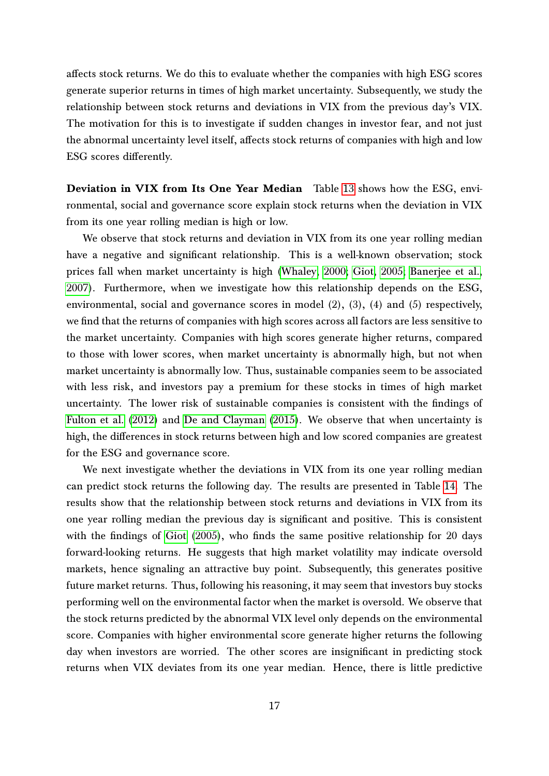affects stock returns. We do this to evaluate whether the companies with high ESG scores generate superior returns in times of high market uncertainty. Subsequently, we study the relationship between stock returns and deviations in VIX from the previous day's VIX. The motivation for this is to investigate if sudden changes in investor fear, and not just the abnormal uncertainty level itself, affects stock returns of companies with high and low ESG scores differently.

Deviation in VIX from Its One Year Median Table [13](#page-40-0) shows how the ESG, environmental, social and governance score explain stock returns when the deviation in VIX from its one year rolling median is high or low.

We observe that stock returns and deviation in VIX from its one year rolling median have a negative and significant relationship. This is a well-known observation; stock prices fall when market uncertainty is high [\(Whaley, 2000;](#page-23-11) [Giot, 2005;](#page-21-21) [Banerjee et al.,](#page-20-22) [2007\)](#page-20-22). Furthermore, when we investigate how this relationship depends on the ESG, environmental, social and governance scores in model (2), (3), (4) and (5) respectively, we find that the returns of companies with high scores across all factors are less sensitive to the market uncertainty. Companies with high scores generate higher returns, compared to those with lower scores, when market uncertainty is abnormally high, but not when market uncertainty is abnormally low. Thus, sustainable companies seem to be associated with less risk, and investors pay a premium for these stocks in times of high market uncertainty. The lower risk of sustainable companies is consistent with the findings of [Fulton et al.](#page-21-22) [\(2012\)](#page-21-22) and [De and Clayman](#page-21-23) [\(2015\)](#page-21-23). We observe that when uncertainty is high, the differences in stock returns between high and low scored companies are greatest for the ESG and governance score.

We next investigate whether the deviations in VIX from its one year rolling median can predict stock returns the following day. The results are presented in Table [14.](#page-41-0) The results show that the relationship between stock returns and deviations in VIX from its one year rolling median the previous day is significant and positive. This is consistent with the findings of [Giot](#page-21-21) [\(2005\)](#page-21-21), who finds the same positive relationship for 20 days forward-looking returns. He suggests that high market volatility may indicate oversold markets, hence signaling an attractive buy point. Subsequently, this generates positive future market returns. Thus, following his reasoning, it may seem that investors buy stocks performing well on the environmental factor when the market is oversold. We observe that the stock returns predicted by the abnormal VIX level only depends on the environmental score. Companies with higher environmental score generate higher returns the following day when investors are worried. The other scores are insignificant in predicting stock returns when VIX deviates from its one year median. Hence, there is little predictive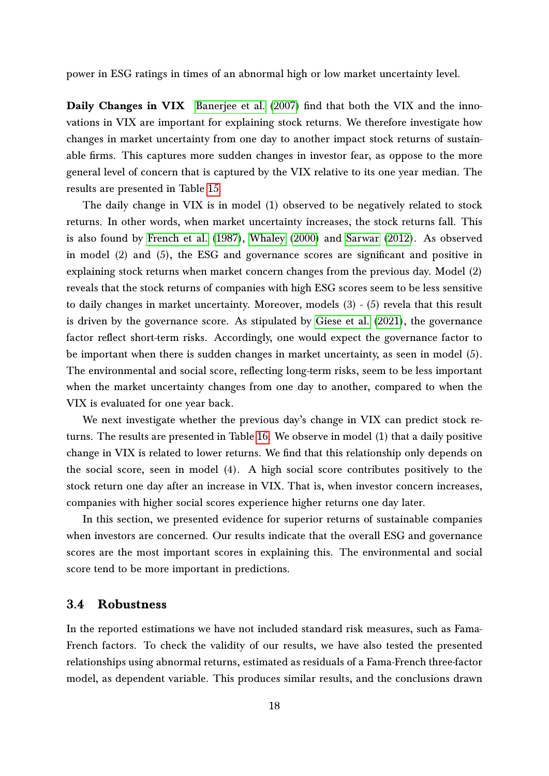power in ESG ratings in times of an abnormal high or low market uncertainty level.

Daily Changes in VIX [Banerjee et al.](#page-20-22) [\(2007\)](#page-20-22) find that both the VIX and the innovations in VIX are important for explaining stock returns. We therefore investigate how changes in market uncertainty from one day to another impact stock returns of sustainable firms. This captures more sudden changes in investor fear, as oppose to the more general level of concern that is captured by the VIX relative to its one year median. The results are presented in Table [15.](#page-42-0)

The daily change in VIX is in model (1) observed to be negatively related to stock returns. In other words, when market uncertainty increases, the stock returns fall. This is also found by [French et al.](#page-21-16) [\(1987\)](#page-21-16), [Whaley](#page-23-11) [\(2000\)](#page-23-11) and [Sarwar](#page-23-12) [\(2012\)](#page-23-12). As observed in model (2) and (5), the ESG and governance scores are significant and positive in explaining stock returns when market concern changes from the previous day. Model (2) reveals that the stock returns of companies with high ESG scores seem to be less sensitive to daily changes in market uncertainty. Moreover, models (3) - (5) revela that this result is driven by the governance score. As stipulated by [Giese et al.](#page-21-2) [\(2021\)](#page-21-2), the governance factor reflect short-term risks. Accordingly, one would expect the governance factor to be important when there is sudden changes in market uncertainty, as seen in model (5). The environmental and social score, reflecting long-term risks, seem to be less important when the market uncertainty changes from one day to another, compared to when the VIX is evaluated for one year back.

We next investigate whether the previous day's change in VIX can predict stock returns. The results are presented in Table [16.](#page-43-0) We observe in model (1) that a daily positive change in VIX is related to lower returns. We find that this relationship only depends on the social score, seen in model (4). A high social score contributes positively to the stock return one day after an increase in VIX. That is, when investor concern increases, companies with higher social scores experience higher returns one day later.

In this section, we presented evidence for superior returns of sustainable companies when investors are concerned. Our results indicate that the overall ESG and governance scores are the most important scores in explaining this. The environmental and social score tend to be more important in predictions.

#### 3.4 Robustness

In the reported estimations we have not included standard risk measures, such as Fama-French factors. To check the validity of our results, we have also tested the presented relationships using abnormal returns, estimated as residuals of a Fama-French three-factor model, as dependent variable. This produces similar results, and the conclusions drawn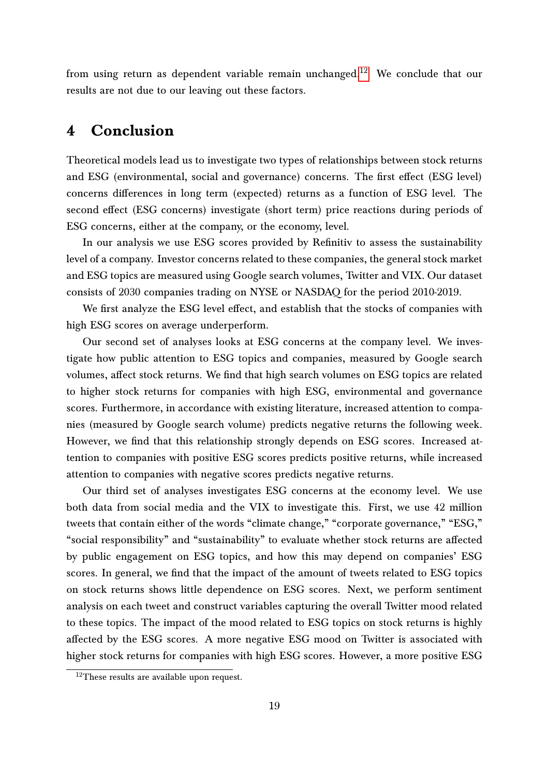from using return as dependent variable remain unchanged.<sup>[12](#page-0-0)</sup> We conclude that our results are not due to our leaving out these factors.

# 4 Conclusion

Theoretical models lead us to investigate two types of relationships between stock returns and ESG (environmental, social and governance) concerns. The first effect (ESG level) concerns differences in long term (expected) returns as a function of ESG level. The second effect (ESG concerns) investigate (short term) price reactions during periods of ESG concerns, either at the company, or the economy, level.

In our analysis we use ESG scores provided by Refinitiv to assess the sustainability level of a company. Investor concerns related to these companies, the general stock market and ESG topics are measured using Google search volumes, Twitter and VIX. Our dataset consists of 2030 companies trading on NYSE or NASDAQ for the period 2010-2019.

We first analyze the ESG level effect, and establish that the stocks of companies with high ESG scores on average underperform.

Our second set of analyses looks at ESG concerns at the company level. We investigate how public attention to ESG topics and companies, measured by Google search volumes, affect stock returns. We find that high search volumes on ESG topics are related to higher stock returns for companies with high ESG, environmental and governance scores. Furthermore, in accordance with existing literature, increased attention to companies (measured by Google search volume) predicts negative returns the following week. However, we find that this relationship strongly depends on ESG scores. Increased attention to companies with positive ESG scores predicts positive returns, while increased attention to companies with negative scores predicts negative returns.

Our third set of analyses investigates ESG concerns at the economy level. We use both data from social media and the VIX to investigate this. First, we use 42 million tweets that contain either of the words "climate change," "corporate governance," "ESG," "social responsibility" and "sustainability" to evaluate whether stock returns are affected by public engagement on ESG topics, and how this may depend on companies' ESG scores. In general, we find that the impact of the amount of tweets related to ESG topics on stock returns shows little dependence on ESG scores. Next, we perform sentiment analysis on each tweet and construct variables capturing the overall Twitter mood related to these topics. The impact of the mood related to ESG topics on stock returns is highly affected by the ESG scores. A more negative ESG mood on Twitter is associated with higher stock returns for companies with high ESG scores. However, a more positive ESG

<sup>&</sup>lt;sup>12</sup>These results are available upon request.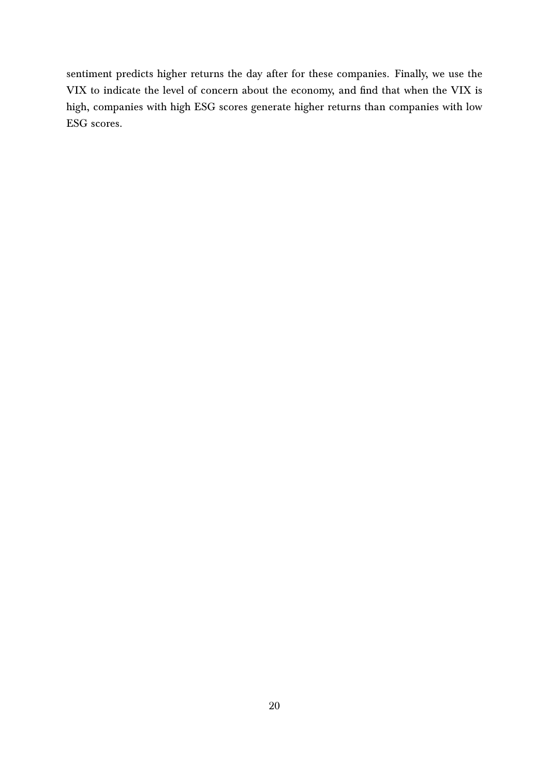sentiment predicts higher returns the day after for these companies. Finally, we use the VIX to indicate the level of concern about the economy, and find that when the VIX is high, companies with high ESG scores generate higher returns than companies with low ESG scores.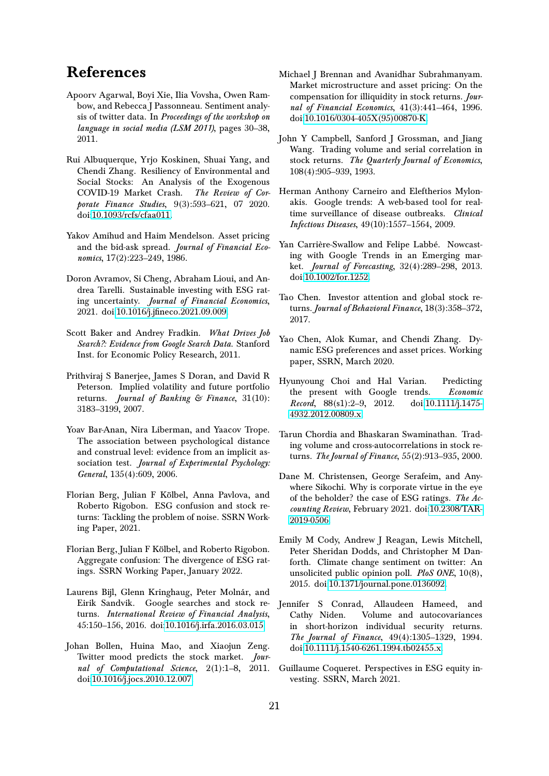# References

- <span id="page-20-13"></span>Apoorv Agarwal, Boyi Xie, Ilia Vovsha, Owen Rambow, and Rebecca J Passonneau. Sentiment analysis of twitter data. In Proceedings of the workshop on language in social media (LSM 2011), pages 30–38, 2011.
- <span id="page-20-1"></span>Rui Albuquerque, Yrjo Koskinen, Shuai Yang, and Chendi Zhang. Resiliency of Environmental and Social Stocks: An Analysis of the Exogenous COVID-19 Market Crash. The Review of Corporate Finance Studies, 9(3):593–621, 07 2020. doi[:10.1093/rcfs/cfaa011.](https://doi.org/10.1093/rcfs/cfaa011)
- <span id="page-20-19"></span>Yakov Amihud and Haim Mendelson. Asset pricing and the bid-ask spread. Journal of Financial Economics, 17(2):223-249, 1986.
- <span id="page-20-5"></span>Doron Avramov, Si Cheng, Abraham Lioui, and Andrea Tarelli. Sustainable investing with ESG rating uncertainty. Journal of Financial Economics, 2021. doi[:10.1016/j.jfineco.2021.09.009.](https://doi.org/10.1016/j.jfineco.2021.09.009)
- <span id="page-20-11"></span>Scott Baker and Andrey Fradkin. What Drives Job Search?: Evidence from Google Search Data. Stanford Inst. for Economic Policy Research, 2011.
- <span id="page-20-22"></span>Prithviraj S Banerjee, James S Doran, and David R Peterson. Implied volatility and future portfolio returns. Journal of Banking & Finance, 31(10): 3183–3199, 2007.
- <span id="page-20-21"></span>Yoav Bar-Anan, Nira Liberman, and Yaacov Trope. The association between psychological distance and construal level: evidence from an implicit association test. Journal of Experimental Psychology: General, 135(4):609, 2006.
- <span id="page-20-4"></span>Florian Berg, Julian F Kölbel, Anna Pavlova, and Roberto Rigobon. ESG confusion and stock returns: Tackling the problem of noise. SSRN Working Paper, 2021.
- <span id="page-20-2"></span>Florian Berg, Julian F Kölbel, and Roberto Rigobon. Aggregate confusion: The divergence of ESG ratings. SSRN Working Paper, January 2022.
- <span id="page-20-9"></span>Laurens Bijl, Glenn Kringhaug, Peter Molnár, and Eirik Sandvik. Google searches and stock returns. International Review of Financial Analysis, 45:150–156, 2016. doi[:10.1016/j.irfa.2016.03.015.](https://doi.org/10.1016/j.irfa.2016.03.015)
- <span id="page-20-14"></span>Johan Bollen, Huina Mao, and Xiaojun Zeng. Twitter mood predicts the stock market. Journal of Computational Science, 2(1):1–8, 2011. doi[:10.1016/j.jocs.2010.12.007.](https://doi.org/10.1016/j.jocs.2010.12.007)
- <span id="page-20-20"></span>Michael J Brennan and Avanidhar Subrahmanyam. Market microstructure and asset pricing: On the compensation for illiquidity in stock returns. Journal of Financial Economics, 41(3):441–464, 1996. doi[:10.1016/0304-405X\(95\)00870-K.](https://doi.org/10.1016/0304-405X(95)00870-K)
- <span id="page-20-16"></span>John Y Campbell, Sanford J Grossman, and Jiang Wang. Trading volume and serial correlation in stock returns. The Quarterly Journal of Economics, 108(4):905–939, 1993.
- <span id="page-20-7"></span>Herman Anthony Carneiro and Eleftherios Mylonakis. Google trends: A web-based tool for realtime surveillance of disease outbreaks. Clinical Infectious Diseases, 49(10):1557–1564, 2009.
- <span id="page-20-12"></span>Yan Carrière-Swallow and Felipe Labbé. Nowcasting with Google Trends in an Emerging market. Journal of Forecasting, 32(4):289–298, 2013. doi[:10.1002/for.1252.](https://doi.org/10.1002/for.1252)
- <span id="page-20-10"></span>Tao Chen. Investor attention and global stock returns. Journal of Behavioral Finance, 18(3):358–372, 2017.
- <span id="page-20-6"></span>Yao Chen, Alok Kumar, and Chendi Zhang. Dynamic ESG preferences and asset prices. Working paper, SSRN, March 2020.
- <span id="page-20-8"></span>Hyunyoung Choi and Hal Varian. Predicting the present with Google trends. Economic Record, 88(s1):2–9, 2012. doi[:10.1111/j.1475-](https://doi.org/10.1111/j.1475-4932.2012.00809.x) [4932.2012.00809.x.](https://doi.org/10.1111/j.1475-4932.2012.00809.x)
- <span id="page-20-18"></span>Tarun Chordia and Bhaskaran Swaminathan. Trading volume and cross-autocorrelations in stock returns. The Journal of Finance, 55(2):913–935, 2000.
- <span id="page-20-3"></span>Dane M. Christensen, George Serafeim, and Anywhere Sikochi. Why is corporate virtue in the eye of the beholder? the case of ESG ratings. The Accounting Review, February 2021. doi[:10.2308/TAR-](https://doi.org/10.2308/TAR-2019-0506)[2019-0506.](https://doi.org/10.2308/TAR-2019-0506)
- <span id="page-20-15"></span>Emily M Cody, Andrew J Reagan, Lewis Mitchell, Peter Sheridan Dodds, and Christopher M Danforth. Climate change sentiment on twitter: An unsolicited public opinion poll. PloS ONE, 10(8), 2015. doi[:10.1371/journal.pone.0136092.](https://doi.org/10.1371/journal.pone.0136092)
- <span id="page-20-17"></span>Jennifer S Conrad, Allaudeen Hameed, and Cathy Niden. Volume and autocovariances in short-horizon individual security returns. The Journal of Finance, 49(4):1305–1329, 1994. doi[:10.1111/j.1540-6261.1994.tb02455.x.](https://doi.org/10.1111/j.1540-6261.1994.tb02455.x)
- <span id="page-20-0"></span>Guillaume Coqueret. Perspectives in ESG equity investing. SSRN, March 2021.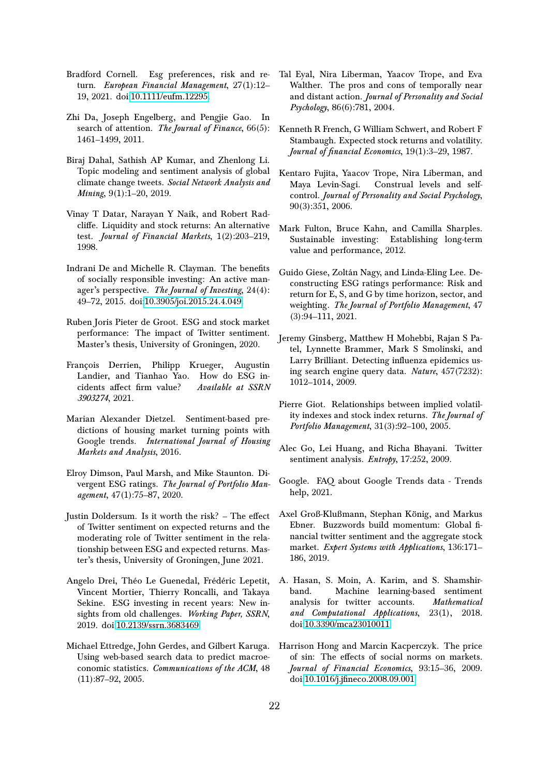- <span id="page-21-4"></span>Bradford Cornell. Esg preferences, risk and return. European Financial Management, 27(1):12-19, 2021. doi[:10.1111/eufm.12295.](https://doi.org/10.1111/eufm.12295)
- <span id="page-21-10"></span>Zhi Da, Joseph Engelberg, and Pengjie Gao. In search of attention. The Journal of Finance,  $66(5)$ : 1461–1499, 2011.
- <span id="page-21-14"></span>Biraj Dahal, Sathish AP Kumar, and Zhenlong Li. Topic modeling and sentiment analysis of global climate change tweets. Social Network Analysis and Mining, 9(1):1-20, 2019.
- <span id="page-21-17"></span>Vinay T Datar, Narayan Y Naik, and Robert Radcliffe. Liquidity and stock returns: An alternative test. Journal of Financial Markets, 1(2):203–219, 1998.
- <span id="page-21-23"></span>Indrani De and Michelle R. Clayman. The benefits of socially responsible investing: An active manager's perspective. The Journal of Investing, 24(4): 49–72, 2015. doi[:10.3905/joi.2015.24.4.049.](https://doi.org/10.3905/joi.2015.24.4.049)
- <span id="page-21-6"></span>Ruben Joris Pieter de Groot. ESG and stock market performance: The impact of Twitter sentiment. Master's thesis, University of Groningen, 2020.
- <span id="page-21-5"></span>François Derrien, Philipp Krueger, Augustin Landier, and Tianhao Yao. How do ESG incidents affect firm value? Available at SSRN 3903274, 2021.
- <span id="page-21-11"></span>Marian Alexander Dietzel. Sentiment-based predictions of housing market turning points with Google trends. International Journal of Housing Markets and Analysis, 2016.
- <span id="page-21-0"></span>Elroy Dimson, Paul Marsh, and Mike Staunton. Divergent ESG ratings. The Journal of Portfolio Management, 47(1):75–87, 2020.
- <span id="page-21-7"></span>Justin Doldersum. Is it worth the risk?  $-$  The effect of Twitter sentiment on expected returns and the moderating role of Twitter sentiment in the relationship between ESG and expected returns. Master's thesis, University of Groningen, June 2021.
- <span id="page-21-1"></span>Angelo Drei, Théo Le Guenedal, Frédéric Lepetit, Vincent Mortier, Thierry Roncalli, and Takaya Sekine. ESG investing in recent years: New insights from old challenges. Working Paper, SSRN, 2019. doi[:10.2139/ssrn.3683469.](https://doi.org/10.2139/ssrn.3683469)
- <span id="page-21-8"></span>Michael Ettredge, John Gerdes, and Gilbert Karuga. Using web-based search data to predict macroeconomic statistics. Communications of the ACM, 48 (11):87–92, 2005.
- <span id="page-21-19"></span>Tal Eyal, Nira Liberman, Yaacov Trope, and Eva Walther. The pros and cons of temporally near and distant action. Journal of Personality and Social Psychology, 86(6):781, 2004.
- <span id="page-21-16"></span>Kenneth R French, G William Schwert, and Robert F Stambaugh. Expected stock returns and volatility. Journal of financial Economics, 19(1):3-29, 1987.
- <span id="page-21-20"></span>Kentaro Fujita, Yaacov Trope, Nira Liberman, and Maya Levin-Sagi. Construal levels and selfcontrol. Journal of Personality and Social Psychology, 90(3):351, 2006.
- <span id="page-21-22"></span>Mark Fulton, Bruce Kahn, and Camilla Sharples. Sustainable investing: Establishing long-term value and performance, 2012.
- <span id="page-21-2"></span>Guido Giese, Zoltán Nagy, and Linda-Eling Lee. Deconstructing ESG ratings performance: Risk and return for E, S, and G by time horizon, sector, and weighting. The Journal of Portfolio Management, 47 (3):94–111, 2021.
- <span id="page-21-9"></span>Jeremy Ginsberg, Matthew H Mohebbi, Rajan S Patel, Lynnette Brammer, Mark S Smolinski, and Larry Brilliant. Detecting influenza epidemics using search engine query data. Nature, 457(7232): 1012–1014, 2009.
- <span id="page-21-21"></span>Pierre Giot. Relationships between implied volatility indexes and stock index returns. The Journal of Portfolio Management, 31(3):92–100, 2005.
- <span id="page-21-13"></span>Alec Go, Lei Huang, and Richa Bhayani. Twitter sentiment analysis. Entropy, 17:252, 2009.
- <span id="page-21-12"></span>Google. FAQ about Google Trends data - Trends help, 2021.
- <span id="page-21-18"></span>Axel Groß-Klußmann, Stephan König, and Markus Ebner. Buzzwords build momentum: Global financial twitter sentiment and the aggregate stock market. Expert Systems with Applications, 136:171-186, 2019.
- <span id="page-21-15"></span>A. Hasan, S. Moin, A. Karim, and S. Shamshirband. Machine learning-based sentiment analysis for twitter accounts. Mathematical and Computational Applications, 23(1), 2018. doi[:10.3390/mca23010011.](https://doi.org/10.3390/mca23010011)
- <span id="page-21-3"></span>Harrison Hong and Marcin Kacperczyk. The price of sin: The effects of social norms on markets. Journal of Financial Economics, 93:15–36, 2009. doi[:10.1016/j.jfineco.2008.09.001.](https://doi.org/10.1016/j.jfineco.2008.09.001)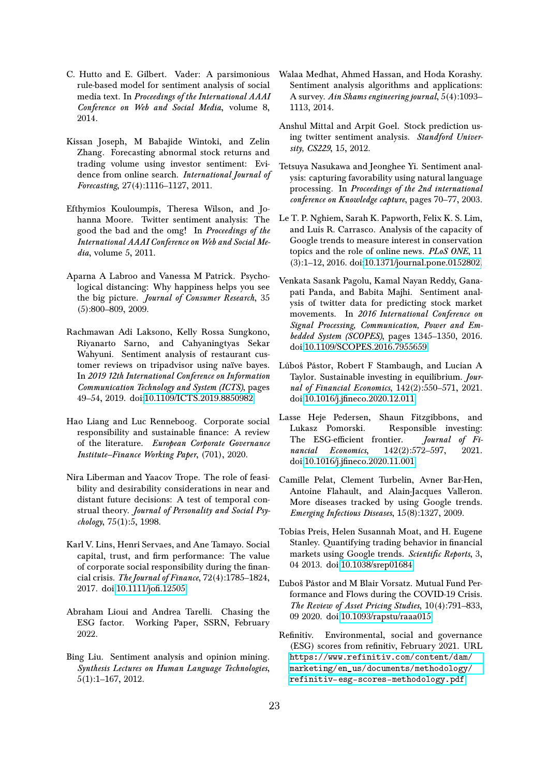- <span id="page-22-18"></span>C. Hutto and E. Gilbert. Vader: A parsimonious rule-based model for sentiment analysis of social media text. In Proceedings of the International AAAI Conference on Web and Social Media, volume 8, 2014.
- <span id="page-22-8"></span>Kissan Joseph, M Babajide Wintoki, and Zelin Zhang. Forecasting abnormal stock returns and trading volume using investor sentiment: Evidence from online search. International Journal of Forecasting, 27(4):1116–1127, 2011.
- <span id="page-22-15"></span>Efthymios Kouloumpis, Theresa Wilson, and Johanna Moore. Twitter sentiment analysis: The good the bad and the omg! In Proceedings of the International AAAI Conference on Web and Social Media, volume 5, 2011.
- <span id="page-22-20"></span>Aparna A Labroo and Vanessa M Patrick. Psychological distancing: Why happiness helps you see the big picture. Journal of Consumer Research, 35 (5):800–809, 2009.
- <span id="page-22-17"></span>Rachmawan Adi Laksono, Kelly Rossa Sungkono, Riyanarto Sarno, and Cahyaningtyas Sekar Wahyuni. Sentiment analysis of restaurant customer reviews on tripadvisor using naïve bayes. In 2019 12th International Conference on Information Communication Technology and System (ICTS), pages 49–54, 2019. doi[:10.1109/ICTS.2019.8850982.](https://doi.org/10.1109/ICTS.2019.8850982)
- <span id="page-22-0"></span>Hao Liang and Luc Renneboog. Corporate social responsibility and sustainable finance: A review of the literature. European Corporate Governance Institute–Finance Working Paper, (701), 2020.
- <span id="page-22-19"></span>Nira Liberman and Yaacov Trope. The role of feasibility and desirability considerations in near and distant future decisions: A test of temporal construal theory. Journal of Personality and Social Psychology, 75(1):5, 1998.
- <span id="page-22-5"></span>Karl V. Lins, Henri Servaes, and Ane Tamayo. Social capital, trust, and firm performance: The value of corporate social responsibility during the financial crisis. The Journal of Finance, 72(4):1785–1824, 2017. doi[:10.1111/jofi.12505.](https://doi.org/10.1111/jofi.12505)
- <span id="page-22-4"></span>Abraham Lioui and Andrea Tarelli. Chasing the ESG factor. Working Paper, SSRN, February 2022.
- <span id="page-22-12"></span>Bing Liu. Sentiment analysis and opinion mining. Synthesis Lectures on Human Language Technologies, 5(1):1–167, 2012.
- <span id="page-22-13"></span>Walaa Medhat, Ahmed Hassan, and Hoda Korashy. Sentiment analysis algorithms and applications: A survey. Ain Shams engineering journal, 5(4):1093– 1113, 2014.
- <span id="page-22-16"></span>Anshul Mittal and Arpit Goel. Stock prediction using twitter sentiment analysis. Standford University, CS229, 15, 2012.
- <span id="page-22-11"></span>Tetsuya Nasukawa and Jeonghee Yi. Sentiment analysis: capturing favorability using natural language processing. In Proceedings of the 2nd international conference on Knowledge capture, pages 70–77, 2003.
- <span id="page-22-7"></span>Le T. P. Nghiem, Sarah K. Papworth, Felix K. S. Lim, and Luis R. Carrasco. Analysis of the capacity of Google trends to measure interest in conservation topics and the role of online news. PLoS ONE, 11 (3):1–12, 2016. doi[:10.1371/journal.pone.0152802.](https://doi.org/10.1371/journal.pone.0152802)
- <span id="page-22-14"></span>Venkata Sasank Pagolu, Kamal Nayan Reddy, Ganapati Panda, and Babita Majhi. Sentiment analysis of twitter data for predicting stock market movements. In 2016 International Conference on Signal Processing, Communication, Power and Embedded System (SCOPES), pages 1345–1350, 2016. doi[:10.1109/SCOPES.2016.7955659.](https://doi.org/10.1109/SCOPES.2016.7955659)
- <span id="page-22-1"></span>Lúboś Pástor, Robert F Stambaugh, and Lucian A Taylor. Sustainable investing in equilibrium. Journal of Financial Economics, 142(2):550–571, 2021. doi[:10.1016/j.jfineco.2020.12.011.](https://doi.org/10.1016/j.jfineco.2020.12.011)
- <span id="page-22-2"></span>Lasse Heje Pedersen, Shaun Fitzgibbons, and Lukasz Pomorski. Responsible investing: The ESG-efficient frontier. *Journal of Fi*nancial Economics, 142(2):572-597, 2021. doi[:10.1016/j.jfineco.2020.11.001.](https://doi.org/10.1016/j.jfineco.2020.11.001)
- <span id="page-22-6"></span>Camille Pelat, Clement Turbelin, Avner Bar-Hen, Antoine Flahault, and Alain-Jacques Valleron. More diseases tracked by using Google trends. Emerging Infectious Diseases, 15(8):1327, 2009.
- <span id="page-22-10"></span>Tobias Preis, Helen Susannah Moat, and H. Eugene Stanley. Quantifying trading behavior in financial markets using Google trends. Scientific Reports, 3, 04 2013. doi[:10.1038/srep01684.](https://doi.org/10.1038/srep01684)
- <span id="page-22-3"></span>Ľuboš Pástor and M Blair Vorsatz. Mutual Fund Performance and Flows during the COVID-19 Crisis. The Review of Asset Pricing Studies, 10(4):791–833, 09 2020. doi[:10.1093/rapstu/raaa015.](https://doi.org/10.1093/rapstu/raaa015)
- <span id="page-22-9"></span>Refinitiv. Environmental, social and governance (ESG) scores from refinitiv, February 2021. URL [https://www.refinitiv.com/content/dam/](https://www.refinitiv.com/content/dam/marketing/en_us/documents/methodology/refinitiv-esg-scores-methodology.pdf) [marketing/en\\_us/documents/methodology/](https://www.refinitiv.com/content/dam/marketing/en_us/documents/methodology/refinitiv-esg-scores-methodology.pdf) [refinitiv-esg-scores-methodology.pdf](https://www.refinitiv.com/content/dam/marketing/en_us/documents/methodology/refinitiv-esg-scores-methodology.pdf).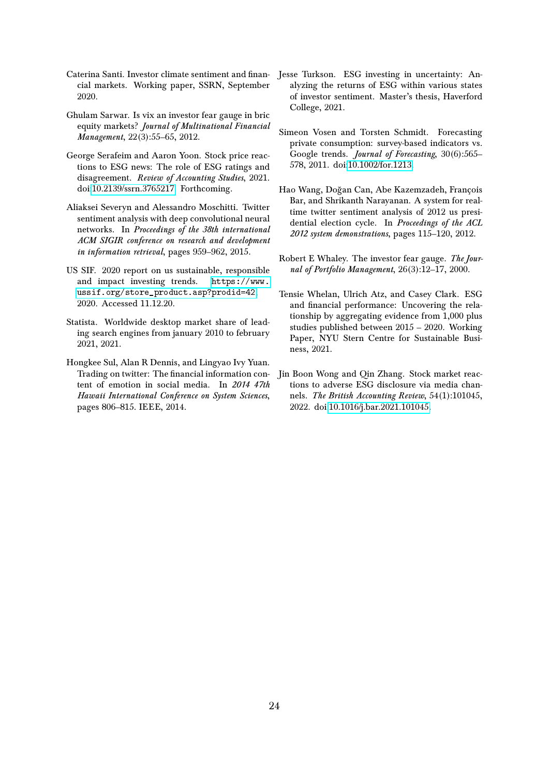- <span id="page-23-3"></span>Caterina Santi. Investor climate sentiment and finan-Jesse Turkson. ESG investing in uncertainty: Ancial markets. Working paper, SSRN, September 2020.
- <span id="page-23-12"></span>Ghulam Sarwar. Is vix an investor fear gauge in bric equity markets? Journal of Multinational Financial Management, 22(3):55–65, 2012.
- <span id="page-23-2"></span>George Serafeim and Aaron Yoon. Stock price reactions to ESG news: The role of ESG ratings and disagreement. Review of Accounting Studies, 2021. doi[:10.2139/ssrn.3765217.](https://doi.org/10.2139/ssrn.3765217) Forthcoming.
- <span id="page-23-9"></span>Aliaksei Severyn and Alessandro Moschitti. Twitter sentiment analysis with deep convolutional neural networks. In Proceedings of the 38th international ACM SIGIR conference on research and development in information retrieval, pages 959–962, 2015.
- <span id="page-23-0"></span>US SIF. 2020 report on us sustainable, responsible and impact investing trends. [https://www.](https://www.ussif.org/store_product.asp?prodid=42) [ussif.org/store\\_product.asp?prodid=42](https://www.ussif.org/store_product.asp?prodid=42), 2020. Accessed 11.12.20.
- <span id="page-23-6"></span>Statista. Worldwide desktop market share of leading search engines from january 2010 to february 2021, 2021.
- <span id="page-23-10"></span>Hongkee Sul, Alan R Dennis, and Lingyao Ivy Yuan. Trading on twitter: The financial information content of emotion in social media. In 2014 47th Hawaii International Conference on System Sciences, pages 806–815. IEEE, 2014.
- <span id="page-23-4"></span>alyzing the returns of ESG within various states of investor sentiment. Master's thesis, Haverford College, 2021.
- <span id="page-23-7"></span>Simeon Vosen and Torsten Schmidt. Forecasting private consumption: survey-based indicators vs. Google trends. Journal of Forecasting, 30(6):565– 578, 2011. doi[:10.1002/for.1213.](https://doi.org/10.1002/for.1213)
- <span id="page-23-8"></span>Hao Wang, Doğan Can, Abe Kazemzadeh, François Bar, and Shrikanth Narayanan. A system for realtime twitter sentiment analysis of 2012 us presidential election cycle. In Proceedings of the ACL 2012 system demonstrations, pages 115–120, 2012.
- <span id="page-23-11"></span>Robert E Whaley. The investor fear gauge. The Journal of Portfolio Management, 26(3):12–17, 2000.
- <span id="page-23-1"></span>Tensie Whelan, Ulrich Atz, and Casey Clark. ESG and financial performance: Uncovering the relationship by aggregating evidence from 1,000 plus studies published between 2015 – 2020. Working Paper, NYU Stern Centre for Sustainable Business, 2021.
- <span id="page-23-5"></span>Jin Boon Wong and Qin Zhang. Stock market reactions to adverse ESG disclosure via media channels. The British Accounting Review, 54(1):101045, 2022. doi[:10.1016/j.bar.2021.101045.](https://doi.org/10.1016/j.bar.2021.101045)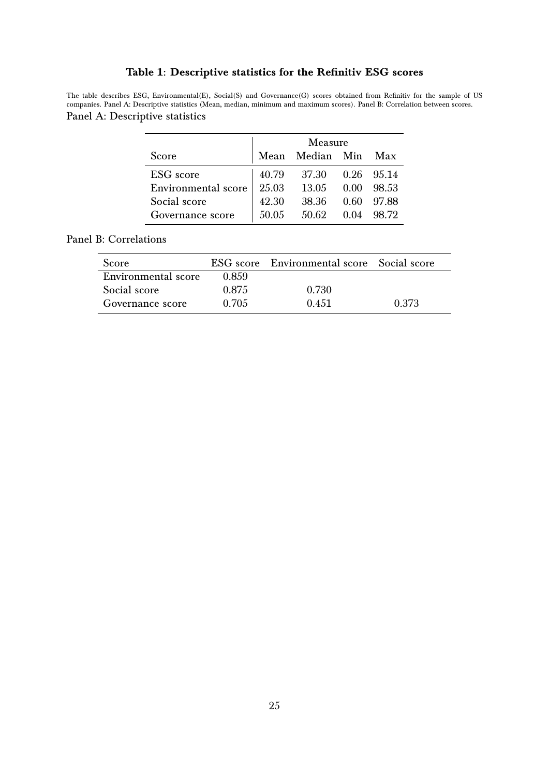#### Table 1: Descriptive statistics for the Refinitiv ESG scores

<span id="page-24-0"></span>The table describes ESG, Environmental(E), Social(S) and Governance(G) scores obtained from Refinitiv for the sample of US companies. Panel A: Descriptive statistics (Mean, median, minimum and maximum scores). Panel B: Correlation between scores.

#### Panel A: Descriptive statistics

|                            | Measure |                 |      |        |  |
|----------------------------|---------|-----------------|------|--------|--|
| Score                      |         | Mean Median Min |      | Max    |  |
| ESG score                  | 40.79   | 37.30           | 0.26 | 95.14  |  |
| <b>Environmental</b> score | 25.03   | 13.05           | 0.00 | -98.53 |  |
| Social score               | 42.30   | 38.36           | 0.60 | 97.88  |  |
| Governance score           | 50.05   | 50.62           | 0.04 | -98.72 |  |

#### Panel B: Correlations

| Score                      |       | ESG score Environmental score Social score |       |
|----------------------------|-------|--------------------------------------------|-------|
| <b>Environmental score</b> | 0.859 |                                            |       |
| Social score               | 0.875 | 0.730                                      |       |
| Governance score           | 0.705 | 0.451                                      | 0.373 |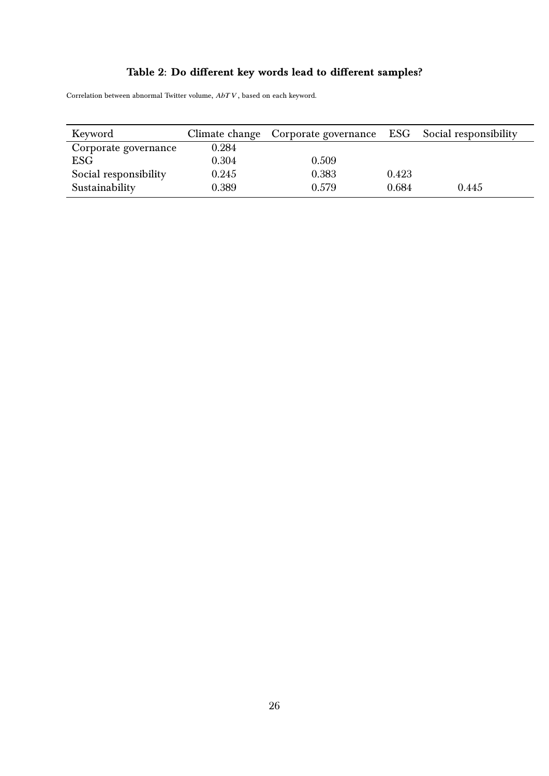# Table 2: Do different key words lead to different samples?

<span id="page-25-0"></span>Correlation between abnormal Twitter volume,  $\operatorname{AbT} V,$  based on each keyword.

| Keyword               |       | Climate change Corporate governance ESG Social responsibility |       |       |
|-----------------------|-------|---------------------------------------------------------------|-------|-------|
| Corporate governance  | 0.284 |                                                               |       |       |
| <b>ESG</b>            | 0.304 | 0.509                                                         |       |       |
| Social responsibility | 0.245 | 0.383                                                         | 0.423 |       |
| Sustainability        | 0.389 | 0.579                                                         | 0.684 | 0.445 |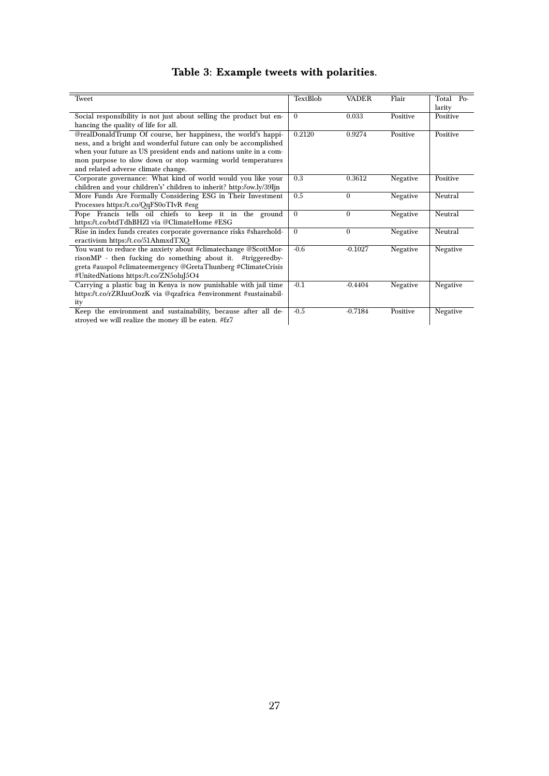# Table 3: Example tweets with polarities.

<span id="page-26-0"></span>

| <b>Tweet</b>                                                          | TextBlob | <b>VADER</b> | Flair    | Total Po- |
|-----------------------------------------------------------------------|----------|--------------|----------|-----------|
|                                                                       |          |              |          | larity    |
| Social responsibility is not just about selling the product but en-   | $\Omega$ | 0.033        | Positive | Positive  |
| hancing the quality of life for all.                                  |          |              |          |           |
| @realDonaldTrump Of course, her happiness, the world's happi-         | 0.2120   | 0.9274       | Positive | Positive  |
| ness, and a bright and wonderful future can only be accomplished      |          |              |          |           |
| when your future as US president ends and nations unite in a com-     |          |              |          |           |
| mon purpose to slow down or stop warming world temperatures           |          |              |          |           |
| and related adverse climate change.                                   |          |              |          |           |
| Corporate governance: What kind of world would you like your          | 0.3      | 0.3612       | Negative | Positive  |
| children and your children's' children to inherit? http://ow.ly/39Ijn |          |              |          |           |
| More Funds Are Formally Considering ESG in Their Investment           | 0.5      | $\theta$     | Negative | Neutral   |
| Processes https://t.co/QqFS0oTIvR #esg                                |          |              |          |           |
| Pope Francis tells oil chiefs to keep it in the ground                | $\Omega$ | $\Omega$     | Negative | Neutral   |
| https://t.co/btdTdhBHZl vía @ClimateHome #ESG                         |          |              |          |           |
| Rise in index funds creates corporate governance risks #sharehold-    | $\Omega$ | $\Omega$     | Negative | Neutral   |
| eractivism https://t.co/51AhmxdTXO                                    |          |              |          |           |
| You want to reduce the anxiety about #climatechange @ScottMor-        | $-0.6$   | $-0.1027$    | Negative | Negative  |
| risonMP - then fucking do something about it. #triggeredby-           |          |              |          |           |
| greta #auspol #climateemergency @GretaThunberg #ClimateCrisis         |          |              |          |           |
| #UnitedNations https://t.co/ZN5oluJ5O4                                |          |              |          |           |
| Carrying a plastic bag in Kenya is now punishable with jail time      | $-0.1$   | $-0.4404$    | Negative | Negative  |
| https://t.co/rZRIuuOozK via @qzafrica #environment #sustainabil-      |          |              |          |           |
| ity                                                                   |          |              |          |           |
| Keep the environment and sustainability, because after all de-        | $-0.5$   | $-0.7184$    | Positive | Negative  |
| stroyed we will realize the money ill be eaten. #fz7                  |          |              |          |           |
|                                                                       |          |              |          |           |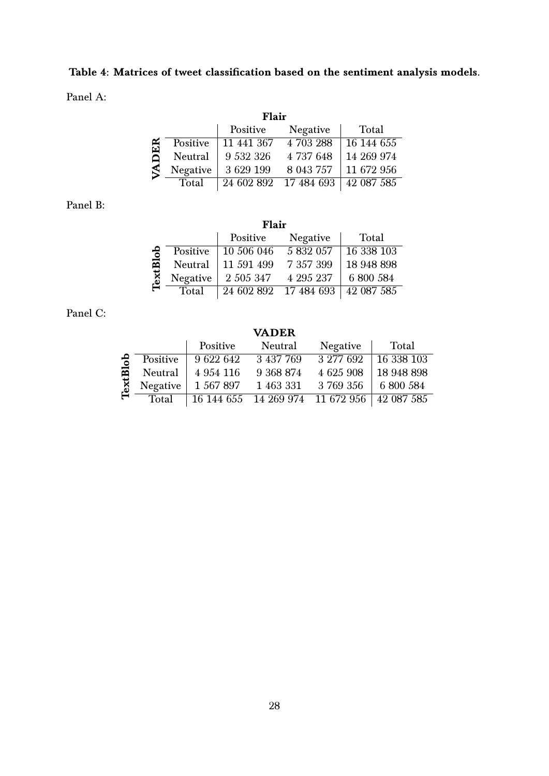# <span id="page-27-0"></span>Table 4: Matrices of tweet classification based on the sentiment analysis models.

Panel A:

|            | Flair        |            |           |            |  |  |  |  |  |  |
|------------|--------------|------------|-----------|------------|--|--|--|--|--|--|
|            |              | Positive   | Negative  | Total      |  |  |  |  |  |  |
|            | Positive     | 11 441 367 | 4 703 288 | 16 144 655 |  |  |  |  |  |  |
| <b>DER</b> | Neutral      | 9 532 326  | 4 737 648 | 14 269 974 |  |  |  |  |  |  |
|            | Negative     | 3 629 199  | 8 043 757 | 11 672 956 |  |  |  |  |  |  |
|            | <b>Total</b> | 24 602 892 | 17484693  | 42 087 585 |  |  |  |  |  |  |

Panel B:

|          |          | Flair      |            |            |
|----------|----------|------------|------------|------------|
|          |          | Positive   | Negative   | Total      |
|          | Positive | 10 506 046 | 5832057    | 16 338 103 |
| TextBlob | Neutral  | 11 591 499 | 7 357 399  | 18 948 898 |
|          | Negative | 2 505 347  | 4 295 237  | 6 800 584  |
|          | Total    | 24 602 892 | 17 484 693 | 42 087 585 |

Panel C:

VADER

|              |          | Positive  | Neutral                                     | Negative  | Total      |
|--------------|----------|-----------|---------------------------------------------|-----------|------------|
| $\tilde{e}$  | Positive | 9 622 642 | 3 437 769                                   | 3 277 692 | 16 338 103 |
| 囩            | Neutral  | 4 954 116 | 9 368 874                                   | 4 625 908 | 18 948 898 |
| $\mathbf{K}$ | Negative | 1 567 897 | 1 463 331                                   | 3 769 356 | 6 800 584  |
|              | Total    |           | 16 144 655 14 269 974 11 672 956 42 087 585 |           |            |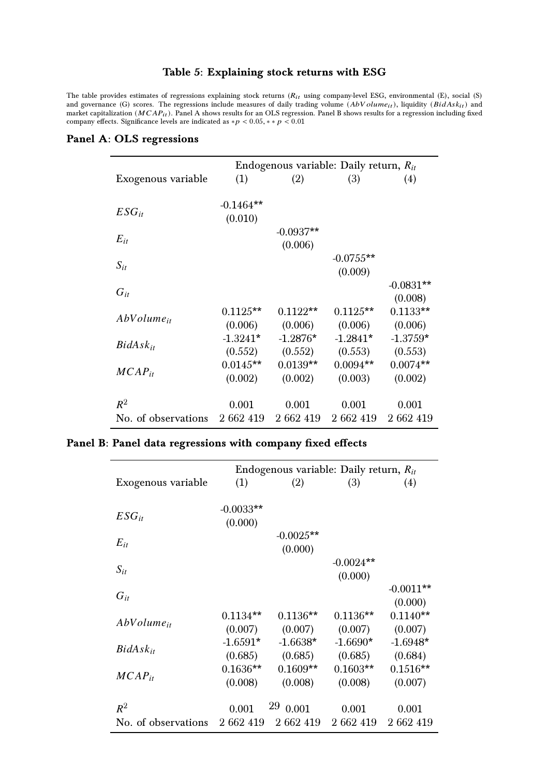#### Table 5: Explaining stock returns with ESG

<span id="page-28-0"></span>The table provides estimates of regressions explaining stock returns  $(R_{it}$  using company-level ESG, environmental (E), social (S) and governance (G) scores. The regressions include measures of daily trading volume  $(AbVolume_{it})$ , liquidity  $(BidAsk_{it})$  and market capitalization  $(MCAP_{it})$ . Panel A shows results for an OLS regression. Panel B shows results for a regression including fixed company effects. Significance levels are indicated as  $\ast p < 0.05, \ast \ast p < 0.01$ 

#### Panel A: OLS regressions

|                     |             | Endogenous variable: Daily return, $R_{it}$ |             |             |
|---------------------|-------------|---------------------------------------------|-------------|-------------|
| Exogenous variable  | (1)         | (2)                                         | (3)         | (4)         |
|                     |             |                                             |             |             |
| $ESG_{it}$          | $-0.1464**$ |                                             |             |             |
|                     | (0.010)     |                                             |             |             |
| $E_{it}$            |             | $-0.0937**$                                 |             |             |
|                     |             | (0.006)                                     |             |             |
| $S_{it}$            |             |                                             | $-0.0755**$ |             |
|                     |             |                                             | (0.009)     |             |
| $G_{it}$            |             |                                             |             | $-0.0831**$ |
|                     |             |                                             |             | (0.008)     |
| $AbVolume_{it}$     | $0.1125**$  | $0.1122**$                                  | $0.1125**$  | $0.1133**$  |
|                     | (0.006)     | (0.006)                                     | (0.006)     | (0.006)     |
| $BidAsk_{it}$       | $-1.3241*$  | $-1.2876*$                                  | $-1.2841*$  | $-1.3759*$  |
|                     | (0.552)     | (0.552)                                     | (0.553)     | (0.553)     |
|                     | $0.0145**$  | $0.0139**$                                  | $0.0094**$  | $0.0074**$  |
| $MCAP_{it}$         | (0.002)     | (0.002)                                     | (0.003)     | (0.002)     |
|                     |             |                                             |             |             |
| $R^2$               | 0.001       | 0.001                                       | 0.001       | 0.001       |
| No. of observations | 2 662 419   | 2 662 419                                   | 2 662 419   | 2 662 419   |

#### Panel B: Panel data regressions with company fixed effects

|                     | Endogenous variable: Daily return, $R_{it}$ |             |             |             |  |  |
|---------------------|---------------------------------------------|-------------|-------------|-------------|--|--|
| Exogenous variable  | (1)                                         | (2)         | (3)         | (4)         |  |  |
|                     |                                             |             |             |             |  |  |
| $ESG_{it}$          | $-0.0033**$                                 |             |             |             |  |  |
|                     | (0.000)                                     |             |             |             |  |  |
| $E_{it}$            |                                             | $-0.0025**$ |             |             |  |  |
|                     |                                             | (0.000)     |             |             |  |  |
| $S_{it}$            |                                             |             | $-0.0024**$ |             |  |  |
|                     |                                             |             | (0.000)     |             |  |  |
| $G_{it}$            |                                             |             |             | $-0.0011**$ |  |  |
|                     |                                             |             |             | (0.000)     |  |  |
| $AbVolume_{it}$     | $0.1134**$                                  | $0.1136**$  | $0.1136**$  | $0.1140**$  |  |  |
|                     | (0.007)                                     | (0.007)     | (0.007)     | (0.007)     |  |  |
| $BidAsk_{it}$       | $-1.6591*$                                  | $-1.6638*$  | $-1.6690*$  | $-1.6948*$  |  |  |
|                     | (0.685)                                     | (0.685)     | (0.685)     | (0.684)     |  |  |
| $MCAP_{it}$         | $0.1636**$                                  | $0.1609**$  | $0.1603**$  | $0.1516**$  |  |  |
|                     | (0.008)                                     | (0.008)     | (0.008)     | (0.007)     |  |  |
|                     |                                             | 29          |             |             |  |  |
| $R^2$               | 0.001                                       | 0.001       | 0.001       | 0.001       |  |  |
| No. of observations | 2 662 419                                   | 2 662 419   | 2 662 419   | 2 662 419   |  |  |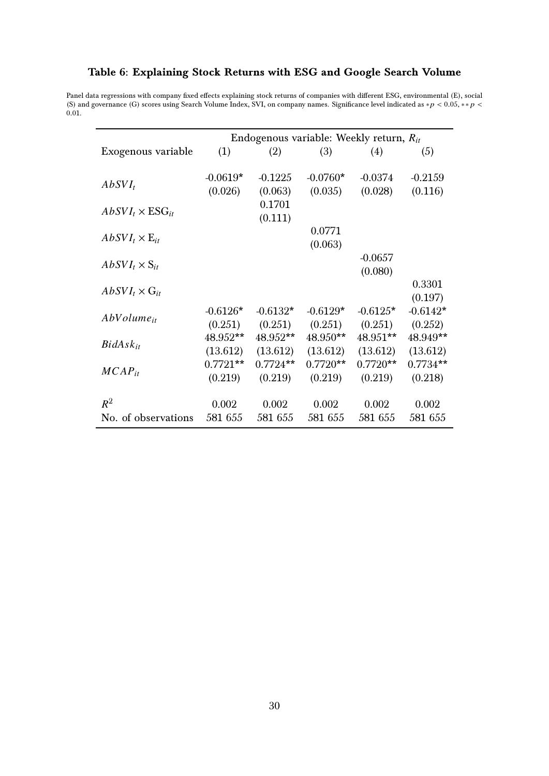#### <span id="page-29-0"></span>Table 6: Explaining Stock Returns with ESG and Google Search Volume

Panel data regressions with company fixed effects explaining stock returns of companies with different ESG, environmental (E), social<br>(S) and governance (G) scores using Search Volume Index, SVI, on company names. Signifi 0.01.

|                           | Endogenous variable: Weekly return, $R_{it}$ |            |            |            |            |  |  |
|---------------------------|----------------------------------------------|------------|------------|------------|------------|--|--|
| Exogenous variable        | (1)                                          | (2)        | (3)        | (4)        | (5)        |  |  |
|                           |                                              |            |            |            |            |  |  |
| $AbSVI_t$                 | $-0.0619*$                                   | $-0.1225$  | $-0.0760*$ | $-0.0374$  | $-0.2159$  |  |  |
|                           | (0.026)                                      | (0.063)    | (0.035)    | (0.028)    | (0.116)    |  |  |
| $AbSVI_t \times ESG_{it}$ |                                              | 0.1701     |            |            |            |  |  |
|                           |                                              | (0.111)    |            |            |            |  |  |
|                           |                                              |            | 0.0771     |            |            |  |  |
| $AbSVI_t \times E_{it}$   |                                              |            | (0.063)    |            |            |  |  |
|                           |                                              |            |            | $-0.0657$  |            |  |  |
| $AbSVI_t \times S_{it}$   |                                              |            |            | (0.080)    |            |  |  |
|                           |                                              |            |            |            | 0.3301     |  |  |
| $AbSVI_t \times G_{it}$   |                                              |            |            |            | (0.197)    |  |  |
|                           | $-0.6126*$                                   | $-0.6132*$ | $-0.6129*$ | $-0.6125*$ | $-0.6142*$ |  |  |
| $AbVolume_{it}$           | (0.251)                                      | (0.251)    | (0.251)    | (0.251)    | (0.252)    |  |  |
|                           | 48.952**                                     | $48.952**$ | $48.950**$ | $48.951**$ | 48.949**   |  |  |
| $BidAsk_{it}$             | (13.612)                                     | (13.612)   | (13.612)   | (13.612)   | (13.612)   |  |  |
|                           | $0.7721**$                                   | $0.7724**$ | $0.7720**$ | $0.7720**$ | $0.7734**$ |  |  |
| $MCAP_{it}$               | (0.219)                                      | (0.219)    | (0.219)    | (0.219)    | (0.218)    |  |  |
|                           |                                              |            |            |            |            |  |  |
| $R^2$                     | 0.002                                        | 0.002      | 0.002      | 0.002      | 0.002      |  |  |
| No. of observations       | 581 655                                      | 581 655    | 581 655    | 581 655    | 581 655    |  |  |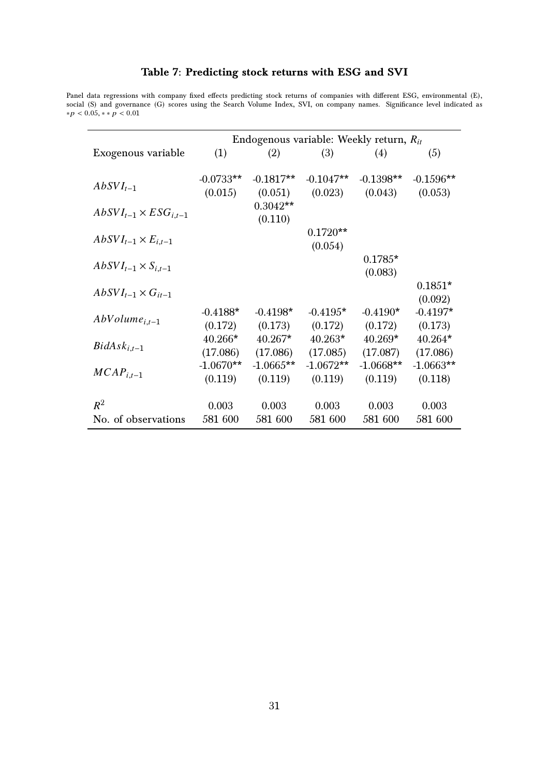#### Table 7: Predicting stock returns with ESG and SVI

<span id="page-30-0"></span>Panel data regressions with company fixed effects predicting stock returns of companies with different ESG, environmental (E), social (S) and governance (G) scores using the Search Volume Index, SVI, on company names. Significance level indicated as  $*p < 0.05, **p < 0.01$ 

|                                  | Endogenous variable: Weekly return, $R_{it}$ |                       |             |             |             |  |  |
|----------------------------------|----------------------------------------------|-----------------------|-------------|-------------|-------------|--|--|
| Exogenous variable               | (1)                                          | (2)                   | (3)         | (4)         | (5)         |  |  |
| $AbSVI_{t-1}$                    | $-0.0733**$                                  | $-0.1817**$           | $-0.1047**$ | $-0.1398**$ | $-0.1596**$ |  |  |
|                                  | (0.015)                                      | (0.051)               | (0.023)     | (0.043)     | (0.053)     |  |  |
| $AbSVI_{t-1} \times ESG_{i,t-1}$ |                                              | $0.3042**$<br>(0.110) |             |             |             |  |  |
|                                  |                                              |                       | $0.1720**$  |             |             |  |  |
| $AbSVI_{t-1} \times E_{i,t-1}$   |                                              |                       | (0.054)     |             |             |  |  |
|                                  |                                              |                       |             | $0.1785*$   |             |  |  |
| $AbSVI_{t-1} \times S_{i,t-1}$   |                                              |                       |             | (0.083)     |             |  |  |
| $AbSVI_{t-1} \times G_{it-1}$    |                                              |                       |             |             | $0.1851*$   |  |  |
|                                  |                                              |                       |             |             | (0.092)     |  |  |
| $AbVolume_{i,t-1}$               | $-0.4188*$                                   | $-0.4198*$            | $-0.4195*$  | $-0.4190*$  | $-0.4197*$  |  |  |
|                                  | (0.172)                                      | (0.173)               | (0.172)     | (0.172)     | (0.173)     |  |  |
| $BidAsk_{i,t-1}$                 | $40.266*$                                    | $40.267*$             | $40.263*$   | $40.269*$   | $40.264*$   |  |  |
|                                  | (17.086)                                     | (17.086)              | (17.085)    | (17.087)    | (17.086)    |  |  |
| $MCAP_{i,t-1}$                   | $-1.0670**$                                  | $-1.0665$ **          | $-1.0672**$ | $-1.0668**$ | $-1.0663**$ |  |  |
|                                  | (0.119)                                      | (0.119)               | (0.119)     | (0.119)     | (0.118)     |  |  |
|                                  |                                              |                       |             |             |             |  |  |
| $R^2$                            | 0.003                                        | 0.003                 | 0.003       | 0.003       | 0.003       |  |  |
| No. of observations              | 581 600                                      | 581 600               | 581 600     | 581 600     | 581 600     |  |  |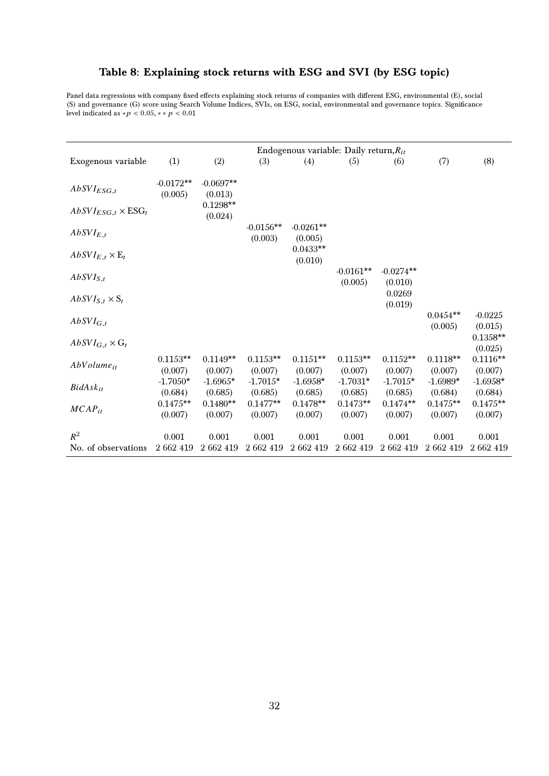#### <span id="page-31-0"></span>Table 8: Explaining stock returns with ESG and SVI (by ESG topic)

Panel data regressions with company fixed effects explaining stock returns of companies with different ESG, environmental (E), social (S) and governance (G) score using Search Volume Indices, SVIs, on ESG, social, environmental and governance topics. Significance level indicated as  $*p < 0.05, **p < 0.01$ 

|                                                                                                                                              |                                                                      |                                                                      |                                                                      | Endogenous variable: Daily return, $R_{it}$                          |                                                                      |                                                                                           |                                                                      |                                                                                              |
|----------------------------------------------------------------------------------------------------------------------------------------------|----------------------------------------------------------------------|----------------------------------------------------------------------|----------------------------------------------------------------------|----------------------------------------------------------------------|----------------------------------------------------------------------|-------------------------------------------------------------------------------------------|----------------------------------------------------------------------|----------------------------------------------------------------------------------------------|
| Exogenous variable                                                                                                                           | (1)                                                                  | (2)                                                                  | (3)                                                                  | (4)                                                                  | (5)                                                                  | (6)                                                                                       | (7)                                                                  | (8)                                                                                          |
|                                                                                                                                              |                                                                      |                                                                      |                                                                      |                                                                      |                                                                      |                                                                                           |                                                                      |                                                                                              |
| $AbSVI_{ESG,t}$                                                                                                                              | $-0.0172**$<br>(0.005)                                               | $-0.0697**$<br>(0.013)                                               |                                                                      |                                                                      |                                                                      |                                                                                           |                                                                      |                                                                                              |
|                                                                                                                                              |                                                                      | $0.1298**$                                                           |                                                                      |                                                                      |                                                                      |                                                                                           |                                                                      |                                                                                              |
| $\widehat{AbsVI}_{ESG,t} \times \text{ESG}_t$                                                                                                |                                                                      | (0.024)                                                              |                                                                      |                                                                      |                                                                      |                                                                                           |                                                                      |                                                                                              |
| $AbSVI_{E,t}$                                                                                                                                |                                                                      |                                                                      | $-0.0156**$                                                          | $-0.0261**$                                                          |                                                                      |                                                                                           |                                                                      |                                                                                              |
|                                                                                                                                              |                                                                      |                                                                      | (0.003)                                                              | (0.005)<br>$0.0433**$                                                |                                                                      |                                                                                           |                                                                      |                                                                                              |
| $AbSVI_{E,t}\times \mathbb{E}_t$                                                                                                             |                                                                      |                                                                      |                                                                      | (0.010)                                                              |                                                                      |                                                                                           |                                                                      |                                                                                              |
|                                                                                                                                              |                                                                      |                                                                      |                                                                      |                                                                      | $-0.0161**$                                                          | $-0.0274**$                                                                               |                                                                      |                                                                                              |
|                                                                                                                                              |                                                                      |                                                                      |                                                                      |                                                                      | (0.005)                                                              | (0.010)                                                                                   |                                                                      |                                                                                              |
| $AbSVI_{S,t}\times S_t$                                                                                                                      |                                                                      |                                                                      |                                                                      |                                                                      |                                                                      |                                                                                           |                                                                      |                                                                                              |
|                                                                                                                                              |                                                                      |                                                                      |                                                                      |                                                                      |                                                                      |                                                                                           | $0.0454**$                                                           |                                                                                              |
|                                                                                                                                              |                                                                      |                                                                      |                                                                      |                                                                      |                                                                      |                                                                                           | (0.005)                                                              | (0.015)                                                                                      |
|                                                                                                                                              |                                                                      |                                                                      |                                                                      |                                                                      |                                                                      |                                                                                           |                                                                      | $0.1358**$                                                                                   |
|                                                                                                                                              |                                                                      |                                                                      |                                                                      |                                                                      |                                                                      |                                                                                           |                                                                      |                                                                                              |
|                                                                                                                                              |                                                                      |                                                                      |                                                                      |                                                                      |                                                                      |                                                                                           |                                                                      |                                                                                              |
|                                                                                                                                              |                                                                      |                                                                      |                                                                      |                                                                      |                                                                      |                                                                                           |                                                                      |                                                                                              |
|                                                                                                                                              |                                                                      |                                                                      |                                                                      |                                                                      |                                                                      |                                                                                           |                                                                      |                                                                                              |
|                                                                                                                                              |                                                                      |                                                                      |                                                                      |                                                                      |                                                                      |                                                                                           |                                                                      |                                                                                              |
|                                                                                                                                              | $0.1475**$                                                           | $0.1480**$                                                           | $0.1477**$                                                           | $0.1478**$                                                           | $0.1473**$                                                           | $0.1474**$                                                                                | $0.1475**$                                                           | $0.1475**$                                                                                   |
|                                                                                                                                              | (0.007)                                                              | (0.007)                                                              | (0.007)                                                              | (0.007)                                                              | (0.007)                                                              | (0.007)                                                                                   | (0.007)                                                              | (0.007)                                                                                      |
|                                                                                                                                              |                                                                      |                                                                      |                                                                      |                                                                      |                                                                      |                                                                                           |                                                                      |                                                                                              |
|                                                                                                                                              |                                                                      |                                                                      |                                                                      |                                                                      |                                                                      |                                                                                           |                                                                      |                                                                                              |
| $AbSVI_{S,t}$<br>$AbSVI_{G,t}$<br>$AbSVI_{G,t}\times G_t$<br>$AbVolume_{it}$<br>$BidAsk_{it}$<br>$MCAP_{it}$<br>$R^2$<br>No. of observations | $0.1153**$<br>(0.007)<br>$-1.7050*$<br>(0.684)<br>0.001<br>2 662 419 | $0.1149**$<br>(0.007)<br>$-1.6965*$<br>(0.685)<br>0.001<br>2 662 419 | $0.1153**$<br>(0.007)<br>$-1.7015*$<br>(0.685)<br>0.001<br>2 662 419 | $0.1151**$<br>(0.007)<br>$-1.6958*$<br>(0.685)<br>0.001<br>2 662 419 | $0.1153**$<br>(0.007)<br>$-1.7031*$<br>(0.685)<br>0.001<br>2 662 419 | 0.0269<br>(0.019)<br>$0.1152**$<br>(0.007)<br>$-1.7015*$<br>(0.685)<br>0.001<br>2 662 419 | $0.1118**$<br>(0.007)<br>$-1.6989*$<br>(0.684)<br>0.001<br>2 662 419 | $-0.0225$<br>(0.025)<br>$0.1116**$<br>(0.007)<br>$-1.6958*$<br>(0.684)<br>0.001<br>2 662 419 |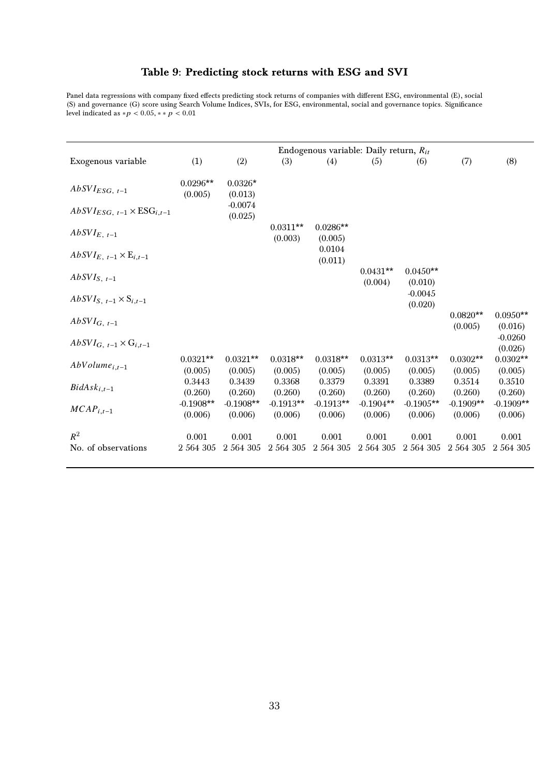#### Table 9: Predicting stock returns with ESG and SVI

<span id="page-32-0"></span>Panel data regressions with company fixed effects predicting stock returns of companies with different ESG, environmental (E), social (S) and governance (G) score using Search Volume Indices, SVIs, for ESG, environmental, social and governance topics. Significance level indicated as  $* p < 0.05, ** p < 0.01$ 

|                                                           |                        |                        |                        |                        | Endogenous variable: Daily return, $R_{it}$ |                        |                        |                        |
|-----------------------------------------------------------|------------------------|------------------------|------------------------|------------------------|---------------------------------------------|------------------------|------------------------|------------------------|
| Exogenous variable                                        | (1)                    | (2)                    | (3)                    | (4)                    | (5)                                         | (6)                    | (7)                    | (8)                    |
| $AbSVI_{ESG, t-1}$                                        | $0.0296**$<br>(0.005)  | $0.0326*$<br>(0.013)   |                        |                        |                                             |                        |                        |                        |
| $\widehat{AbsVI}_{ESG, t-1} \times \widehat{ESG}_{i,t-1}$ |                        | $-0.0074$<br>(0.025)   |                        |                        |                                             |                        |                        |                        |
| $AbSVI_{E, t-1}$                                          |                        |                        | $0.0311**$<br>(0.003)  | $0.0286**$<br>(0.005)  |                                             |                        |                        |                        |
| $\widehat{AbSVI}_{E, t-1} \times E_{i,t-1}$               |                        |                        |                        | 0.0104<br>(0.011)      |                                             |                        |                        |                        |
| $AbSVI_{S, t-1}$                                          |                        |                        |                        |                        | $0.0431**$<br>(0.004)                       | $0.0450**$<br>(0.010)  |                        |                        |
| $AbSVI_{S, t-1} \times S_{i,t-1}$                         |                        |                        |                        |                        |                                             | $-0.0045$<br>(0.020)   |                        |                        |
| $AbSVI_{G, t-1}$                                          |                        |                        |                        |                        |                                             |                        | $0.0820**$<br>(0.005)  | $0.0950**$<br>(0.016)  |
| $AbSVI_{G, t-1} \times G_{i,t-1}$                         |                        |                        |                        |                        |                                             |                        |                        | $-0.0260$<br>(0.026)   |
| $AbVolume_{i,t-1}$                                        | $0.0321**$<br>(0.005)  | $0.0321**$<br>(0.005)  | $0.0318**$<br>(0.005)  | $0.0318**$<br>(0.005)  | $0.0313**$<br>(0.005)                       | $0.0313**$<br>(0.005)  | $0.0302**$<br>(0.005)  | $0.0302**$<br>(0.005)  |
| $BidAsk_{i,t-1}$                                          | 0.3443<br>(0.260)      | 0.3439<br>(0.260)      | 0.3368<br>(0.260)      | 0.3379<br>(0.260)      | 0.3391<br>(0.260)                           | 0.3389<br>(0.260)      | 0.3514<br>(0.260)      | 0.3510<br>(0.260)      |
| $MCAP_{i,t-1}$                                            | $-0.1908**$<br>(0.006) | $-0.1908**$<br>(0.006) | $-0.1913**$<br>(0.006) | $-0.1913**$<br>(0.006) | $-0.1904**$<br>(0.006)                      | $-0.1905**$<br>(0.006) | $-0.1909**$<br>(0.006) | $-0.1909**$<br>(0.006) |
| $R^2$<br>No. of observations                              | 0.001<br>2 564 305     | 0.001<br>2 564 305     | 0.001<br>2 564 305     | 0.001<br>2 564 305     | 0.001<br>2 564 305                          | 0.001<br>2 564 305     | 0.001<br>2 564 305     | 0.001<br>2 564 305     |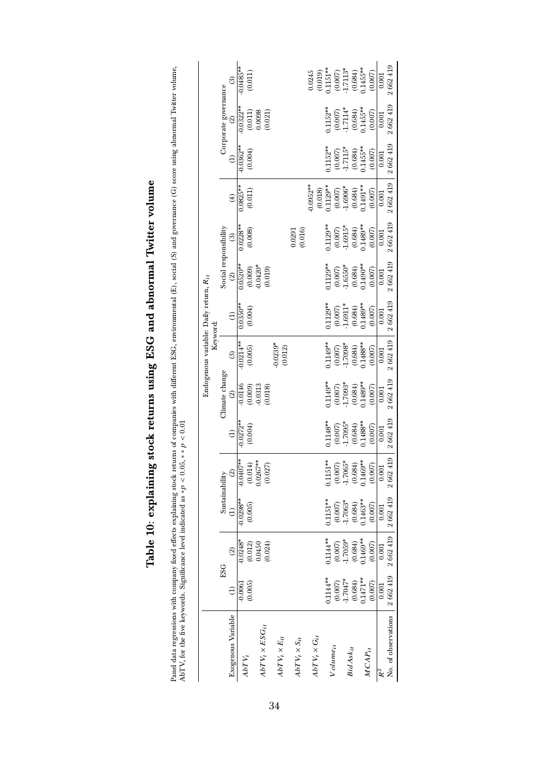|                                        |                       | ම                       | $0.0485**$            | (0.011)                                          |                                                                         |                         |                             |         | 0.245                   |                      |                       | $\begin{array}{c} (0.019) \\ 0.1151^{**} \\ (0.007) \\ (1.7113^{*} \\ (0.684) \\ (0.684) \\ (0.687^{**} \\ (1.455^{**} \\ \end{array}$ |             | (0.007) | 0.001     | 2 662 419                       |
|----------------------------------------|-----------------------|-------------------------|-----------------------|--------------------------------------------------|-------------------------------------------------------------------------|-------------------------|-----------------------------|---------|-------------------------|----------------------|-----------------------|----------------------------------------------------------------------------------------------------------------------------------------|-------------|---------|-----------|---------------------------------|
|                                        | Corporate governance  | $\circledcirc$          | $0.0322**$            | $\begin{array}{c} (0.011) \\ 0.0098 \end{array}$ | (0.021)                                                                 |                         |                             |         |                         | $1152**$             |                       | $\begin{array}{c} (0.007) \\ -1.7114^* \\ (0.684) \\ 0.1455^{**} \end{array}$                                                          |             | (0.007) | 0.001     | 2 662 419                       |
|                                        |                       |                         | $-0.0362**$           | (0.004)                                          |                                                                         |                         |                             |         |                         | $1152**$             |                       | $\begin{array}{c} (0.007) \\ -1.7115^* \\ (0.684) \\ 0.1455^{**} \end{array}$                                                          |             | (0.007) | 0.001     | 2662419                         |
|                                        |                       | $\left( 4\right)$       | $0.0825**$            | $(0.011)$                                        |                                                                         |                         |                             |         | $0.0952**$              |                      |                       | $\begin{array}{l} (0.018) \\ 0.1129^{**} \\ (0.007) \\ (0.007) \\ (0.684) \\ (0.684) \\ 0.1491^{**} \end{array}$                       |             | (0.007) | $0.001\,$ | 2662419                         |
|                                        | Social responsibility | $\circledR$             | $0.0228**$            | (0.008)                                          |                                                                         |                         | 0.0291                      | (0.016) |                         | $0.1129**$           |                       | $\begin{array}{c} (0.007) \\ -1.6915^{*} \\ (0.684) \\ 0.1489^{**} \end{array}$                                                        |             | (0.007) | 0.001     | 2 662 419                       |
|                                        |                       | $\circledcirc$          | $\frac{1}{0.0520**}$  |                                                  | $(0.009)$<br>$0.0420*$<br>$(0.019)$                                     |                         |                             |         |                         |                      |                       | $1.1129**$<br>$(0.007)$<br>$1.6550*$<br>$(0.684)$<br>$0.1490**$                                                                        |             | (0.007) | $0.001\,$ | 2 662 419                       |
| Endogenous variable: Daily return, Rit |                       | $\ominus$               | $0.0350**$            | (0.004)                                          |                                                                         |                         |                             |         |                         | $1129**$             |                       | $\begin{array}{c} (0.007) \\ -1.6911^* \\ (0.684) \\ 0.1489^{**} \end{array}$                                                          |             | (0.007) | 0.001     | $2\ 662\ 419$                   |
| Keyword:                               |                       | $\widehat{\mathcal{E}}$ | $\frac{1}{10.0214**}$ |                                                  |                                                                         | $0.0239$ * $(0.012)$    |                             |         |                         | $0.1149**$           |                       | $\begin{array}{c} (0.007) \\ -1.7098^* \\ (0.684) \\ 0.1488^{**} \end{array}$                                                          |             | (0.007) | $0.001\,$ | 2662419                         |
|                                        | Climate change        | $\widehat{2}$           | $-0.0146$             | $(0.009)$<br>$0.0313$                            | (0.018)                                                                 |                         |                             |         |                         | $1149**$             | $(0.007)$<br>1.7093*  | $(0.684)$<br>$0.1489**$                                                                                                                |             | (0.007) | 0.001     | 2 662 419                       |
|                                        |                       |                         | $-0.0272**$           | (0.004)                                          |                                                                         |                         |                             |         |                         | $0.1148**$           | $(0.007)$<br>-1.7095* | $(0.684)$<br>$0.1488**$                                                                                                                |             | (0.007) | 0.001     | 2 662 419                       |
|                                        | Sustainability        |                         |                       |                                                  | $\begin{array}{c} -0.0407** \ (0.014) \ 0.0267** \ 0.0267* \end{array}$ |                         |                             |         |                         |                      |                       | $\begin{array}{l} 0.1151^{***}\\ (0.007)\\ -1.7065^{*}\\ (0.684)\\ (0.1469^{**}\\ (0.1469^{**}\\ (0.007)\\ \end{array}$                |             |         | 0.001     | 419<br>2662                     |
|                                        |                       |                         | $-0.0298**$           | (0.005)                                          |                                                                         |                         |                             |         |                         | $0.1151**$           | $(0.007)$<br>1.7063*  | $(0.684)$<br>0.1463**                                                                                                                  |             | (0.007) | 0.001     |                                 |
|                                        | ESG                   |                         | $-0.0248$ *           | $(0.012)$<br>$0.0450$                            | (0.024)                                                                 |                         |                             |         |                         | 11144**              | $(0.007)$<br>1.7059*  | $(0.684)$<br>$0.1469**$                                                                                                                |             | (0.007) | 0.001     | 2 662 419 2 662 419   2 662 419 |
|                                        |                       |                         | $-0.0061$             | (0.005)                                          |                                                                         |                         |                             |         |                         | $0.114**$            | $(0.007)$<br>1.7047*  | $(0.684)$<br>$0.1471**$                                                                                                                |             | (0.007) | 0.001     |                                 |
|                                        |                       | Exogenous Variable      | $ABTV_t$              |                                                  | $ADTV_t \times ESG_{it}$                                                | $AbT V_t \times E_{it}$ | $A b T\, V_t \times S_{it}$ |         | $ABT V_t \times G_{it}$ | Volume <sub>it</sub> |                       | <b>BidAskit</b>                                                                                                                        | $MCAP_{it}$ |         | R∠        | No. of observations             |

# Table 10: explaining stock returns using ESG and abnormal Twitter volume Table 10: explaining stock returns using ESG and abnormal Twitter volume

<span id="page-33-0"></span>Panel data regressions with company fixed effects explaining stock returns of companies with different ESG, environmental (E), social (S) and governance (G) score using abnormal Twitter volume,<br>AbTV, for the five keywords Panel data regressions with company fixed effects explaining stock returns of companies with different ESG, environmental (E), social (S) and governance (G) score using abnormal Twitter volume, AbTV, for the five keywords. Significance level indicated as  $* p < 0.05, ** p < 0.01$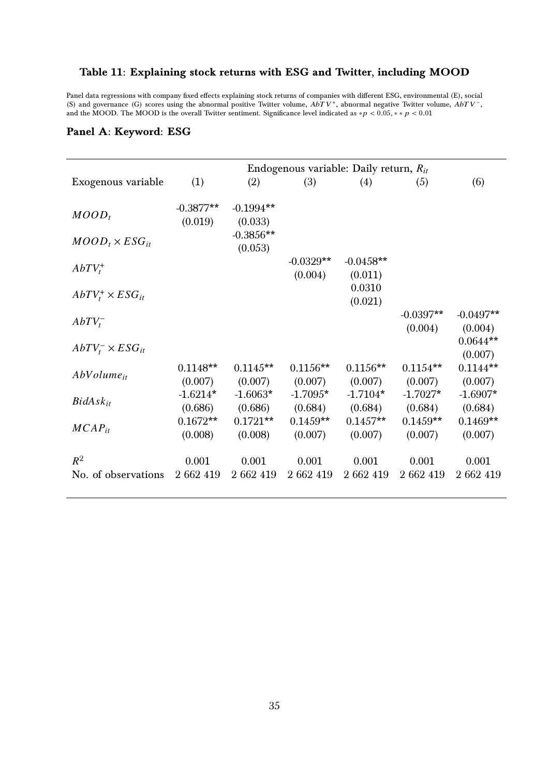#### <span id="page-34-0"></span>Table 11: Explaining stock returns with ESG and Twitter, including MOOD

Panel data regressions with company fixed effects explaining stock returns of companies with different ESG, environmental (E), social (S) and governance (G) scores using the abnormal positive Twitter volume, and the V<sup>-</sup>, and the MOOD. The MOOD is the overall Twitter sentiment. Significance level indicated as ∗ $p < 0.05$ , \*\*  $p < 0.01$ 

|                            | Endogenous variable: Daily return, $R_{it}$ |                        |                       |                       |                       |                       |  |  |  |  |
|----------------------------|---------------------------------------------|------------------------|-----------------------|-----------------------|-----------------------|-----------------------|--|--|--|--|
| Exogenous variable         | (1)                                         | (2)                    | (3)                   | (4)                   | (5)                   | (6)                   |  |  |  |  |
|                            |                                             |                        |                       |                       |                       |                       |  |  |  |  |
| $MOD_t$                    | $-0.3877**$<br>(0.019)                      | $-0.1994**$<br>(0.033) |                       |                       |                       |                       |  |  |  |  |
|                            |                                             | $-0.3856**$            |                       |                       |                       |                       |  |  |  |  |
| $MOD_t \times ESG_{it}$    |                                             | (0.053)                |                       |                       |                       |                       |  |  |  |  |
| $AbTV_t^+$                 |                                             |                        | $-0.0329**$           | $-0.0458**$           |                       |                       |  |  |  |  |
|                            |                                             |                        | (0.004)               | (0.011)<br>0.0310     |                       |                       |  |  |  |  |
| $AbTV_t^+ \times ESG_{it}$ |                                             |                        |                       | (0.021)               |                       |                       |  |  |  |  |
|                            |                                             |                        |                       |                       | $-0.0397**$           | $-0.0497**$           |  |  |  |  |
| $AbTV_{t}^{-}$             |                                             |                        |                       |                       | (0.004)               | (0.004)               |  |  |  |  |
| $AbTV_t^- \times ESG_{it}$ |                                             |                        |                       |                       |                       | $0.0644**$            |  |  |  |  |
|                            | $0.1148**$                                  | $0.1145**$             | $0.1156**$            | $0.1156**$            | $0.1154**$            | (0.007)<br>$0.1144**$ |  |  |  |  |
| $AbVolume_{it}$            | (0.007)                                     | (0.007)                | (0.007)               | (0.007)               | (0.007)               | (0.007)               |  |  |  |  |
| $BidAsk_{it}$              | $-1.6214*$                                  | $-1.6063*$             | $-1.7095*$            | $-1.7104*$            | $-1.7027*$            | $-1.6907*$            |  |  |  |  |
|                            | (0.686)                                     | (0.686)                | (0.684)               | (0.684)               | (0.684)               | (0.684)               |  |  |  |  |
| $MCAP_{it}$                | $0.1672**$<br>(0.008)                       | $0.1721**$<br>(0.008)  | $0.1459**$<br>(0.007) | $0.1457**$<br>(0.007) | $0.1459**$<br>(0.007) | $0.1469**$<br>(0.007) |  |  |  |  |
|                            |                                             |                        |                       |                       |                       |                       |  |  |  |  |
| $R^2$                      | 0.001                                       | 0.001                  | 0.001                 | 0.001                 | 0.001                 | 0.001                 |  |  |  |  |
| No. of observations        | 2 662 419                                   | 2 662 419              | 2 662 419             | 2 662 419             | 2 662 419             | 2 662 419             |  |  |  |  |

#### Panel A: Keyword: ESG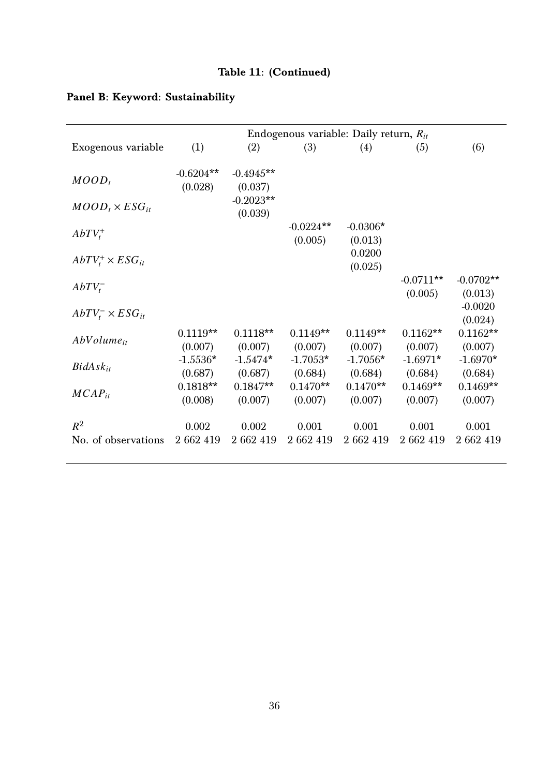# Table 11: (Continued)

|                              | Endogenous variable: Daily return, $R_{it}$ |                        |                        |                       |                        |                        |  |  |  |  |  |
|------------------------------|---------------------------------------------|------------------------|------------------------|-----------------------|------------------------|------------------------|--|--|--|--|--|
| Exogenous variable           | (1)                                         | (2)                    | (3)                    | (4)                   | (5)                    | (6)                    |  |  |  |  |  |
| $MOD_t$                      | $-0.6204**$<br>(0.028)                      | $-0.4945**$<br>(0.037) |                        |                       |                        |                        |  |  |  |  |  |
| $MOD_t \times ESG_{it}$      |                                             | $-0.2023**$<br>(0.039) |                        |                       |                        |                        |  |  |  |  |  |
| $AbTV_t^+$                   |                                             |                        | $-0.0224**$<br>(0.005) | $-0.0306*$<br>(0.013) |                        |                        |  |  |  |  |  |
| $AbTV_t^+ \times ESG_{it}$   |                                             |                        |                        | 0.0200<br>(0.025)     |                        |                        |  |  |  |  |  |
| $AbTV_{t}^{-}$               |                                             |                        |                        |                       | $-0.0711**$<br>(0.005) | $-0.0702**$<br>(0.013) |  |  |  |  |  |
| $AbTV_t^- \times ESG_{it}$   |                                             |                        |                        |                       |                        | $-0.0020$<br>(0.024)   |  |  |  |  |  |
| $AbVolume_{it}$              | $0.1119**$<br>(0.007)                       | $0.1118**$<br>(0.007)  | $0.1149**$<br>(0.007)  | $0.1149**$<br>(0.007) | $0.1162**$<br>(0.007)  | $0.1162**$<br>(0.007)  |  |  |  |  |  |
| $BidAsk_{it}$                | $-1.5536*$<br>(0.687)                       | $-1.5474*$<br>(0.687)  | $-1.7053*$<br>(0.684)  | $-1.7056*$<br>(0.684) | $-1.6971*$<br>(0.684)  | $-1.6970*$<br>(0.684)  |  |  |  |  |  |
| $MCAP_{it}$                  | $0.1818**$<br>(0.008)                       | $0.1847**$<br>(0.007)  | $0.1470**$<br>(0.007)  | $0.1470**$<br>(0.007) | $0.1469**$<br>(0.007)  | $0.1469**$<br>(0.007)  |  |  |  |  |  |
| $R^2$<br>No. of observations | 0.002<br>2 662 419                          | 0.002<br>2 662 419     | 0.001<br>2 662 419     | 0.001<br>2 662 419    | 0.001<br>2 662 419     | 0.001<br>2 662 419     |  |  |  |  |  |
|                              |                                             |                        |                        |                       |                        |                        |  |  |  |  |  |

# Panel B: Keyword: Sustainability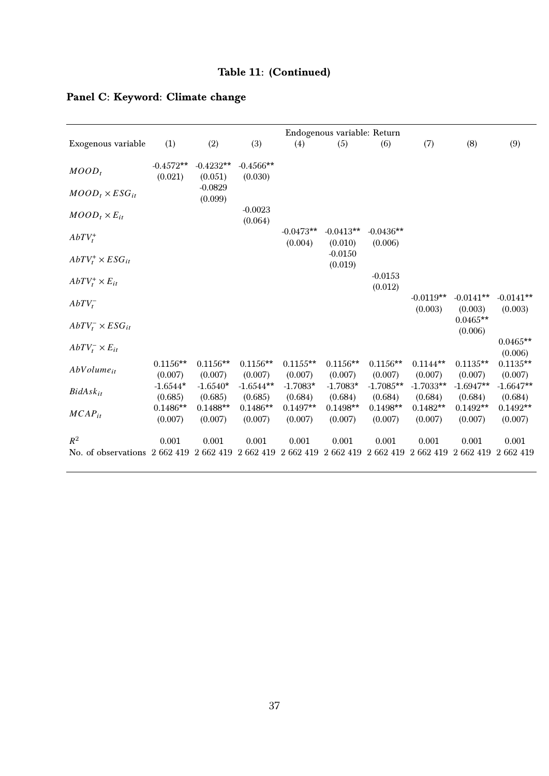# Table 11: (Continued)

# Panel C: Keyword: Climate change

|                                                                      |                        |                        |                        |                        | Endogenous variable: Return |                                                  |                        |                        |                        |
|----------------------------------------------------------------------|------------------------|------------------------|------------------------|------------------------|-----------------------------|--------------------------------------------------|------------------------|------------------------|------------------------|
| Exogenous variable                                                   | (1)                    | (2)                    | (3)                    | (4)                    | (5)                         | (6)                                              | (7)                    | (8)                    | (9)                    |
| $MOD_t$                                                              | $-0.4572**$<br>(0.021) | $-0.4232**$<br>(0.051) | $-0.4566**$<br>(0.030) |                        |                             |                                                  |                        |                        |                        |
| $MOD_t \times ESG_{it}$                                              |                        | $-0.0829$<br>(0.099)   |                        |                        |                             |                                                  |                        |                        |                        |
| $MOD_t \times E_{it}$                                                |                        |                        | $-0.0023$<br>(0.064)   |                        |                             |                                                  |                        |                        |                        |
| $AbTV_t^+$                                                           |                        |                        |                        | $-0.0473**$<br>(0.004) | $-0.0413**$<br>(0.010)      | $-0.0436**$<br>(0.006)                           |                        |                        |                        |
| $AbTV_t^+ \times ESG_{it}$                                           |                        |                        |                        |                        | $-0.0150$<br>(0.019)        |                                                  |                        |                        |                        |
| $AbTV_t^+ \times E_{it}$                                             |                        |                        |                        |                        |                             | $-0.0153$<br>(0.012)                             |                        |                        |                        |
| $AbTV_{t}^{-}$                                                       |                        |                        |                        |                        |                             |                                                  | $-0.0119**$<br>(0.003) | $-0.0141**$<br>(0.003) | $-0.0141**$<br>(0.003) |
| $AbTV_t^- \times ESG_{it}$                                           |                        |                        |                        |                        |                             |                                                  |                        | $0.0465**$<br>(0.006)  |                        |
| $AbTV_t^- \times E_{it}$                                             |                        |                        |                        |                        |                             |                                                  |                        |                        | $0.0465**$<br>(0.006)  |
| $AbVolume_{it}$                                                      | $0.1156**$<br>(0.007)  | $0.1156**$<br>(0.007)  | $0.1156**$<br>(0.007)  | $0.1155**$<br>(0.007)  | $0.1156**$<br>(0.007)       | $0.1156**$<br>(0.007)                            | $0.1144**$<br>(0.007)  | $0.1135**$<br>(0.007)  | $0.1135**$<br>(0.007)  |
| $BidAsk_{it}$                                                        | $-1.6544*$<br>(0.685)  | $-1.6540*$<br>(0.685)  | $-1.6544**$<br>(0.685) | $-1.7083*$<br>(0.684)  | $-1.7083*$<br>(0.684)       | $-1.7085**$<br>(0.684)                           | $-1.7033**$<br>(0.684) | $-1.6947**$<br>(0.684) | $-1.6647**$<br>(0.684) |
| $MCAP_{it}$                                                          | $0.1486**$<br>(0.007)  | $0.1488**$<br>(0.007)  | $0.1486**$<br>(0.007)  | $0.1497**$<br>(0.007)  | $0.1498**$<br>(0.007)       | $0.1498**$<br>(0.007)                            | $0.1482**$<br>(0.007)  | $0.1492**$<br>(0.007)  | $0.1492**$<br>(0.007)  |
| $R^2$<br>No. of observations 2 662 419 2 662 419 2 662 419 2 662 419 | 0.001                  | 0.001                  | 0.001                  | 0.001                  | 0.001                       | 0.001<br>2 662 419 2 662 419 2 662 419 2 662 419 | 0.001                  | 0.001                  | 0.001<br>2 662 419     |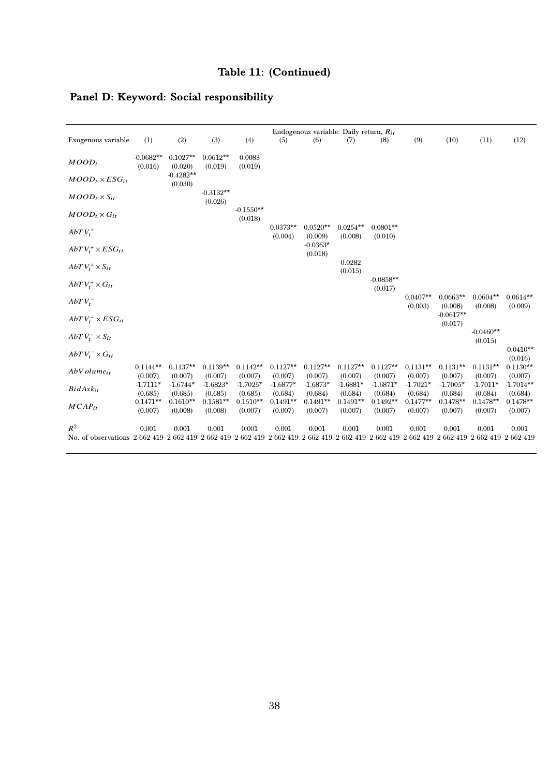# Panel D: Keyword: Social responsibility

|                                                                                                                                                      |                        |                        |                        |                        |                       | Endogenous variable: Daily return, $R_{it}$ |                       |                        |                       |                        |                        |                        |
|------------------------------------------------------------------------------------------------------------------------------------------------------|------------------------|------------------------|------------------------|------------------------|-----------------------|---------------------------------------------|-----------------------|------------------------|-----------------------|------------------------|------------------------|------------------------|
| Exogenous variable                                                                                                                                   | (1)                    | (2)                    | (3)                    | (4)                    | (5)                   | (6)                                         | (7)                   | (8)                    | (9)                   | (10)                   | (11)                   | (12)                   |
| $MOD_t$                                                                                                                                              | $-0.0682**$<br>(0.016) | $0.1027**$<br>(0.020)  | $0.0612**$<br>(0.019)  | 0.0083<br>(0.019)      |                       |                                             |                       |                        |                       |                        |                        |                        |
| $MOD_t \times ESG_{it}$                                                                                                                              |                        | $-0.4282**$<br>(0.030) |                        |                        |                       |                                             |                       |                        |                       |                        |                        |                        |
| $MOD_t \times S_{it}$                                                                                                                                |                        |                        | $-0.3132**$<br>(0.026) |                        |                       |                                             |                       |                        |                       |                        |                        |                        |
| $MOD_t \times G_{it}$                                                                                                                                |                        |                        |                        | $-0.1550**$<br>(0.018) |                       |                                             |                       |                        |                       |                        |                        |                        |
| $AbTV_t^+$                                                                                                                                           |                        |                        |                        |                        | $0.0373**$<br>(0.004) | $0.0520**$<br>(0.009)                       | $0.0254**$<br>(0.008) | $0.0801**$<br>(0.010)  |                       |                        |                        |                        |
| $AbTV_t^+ \times ESG_{it}$                                                                                                                           |                        |                        |                        |                        |                       | $-0.0363*$<br>(0.018)                       |                       |                        |                       |                        |                        |                        |
| $AbTV_t^+ \times S_{it}$                                                                                                                             |                        |                        |                        |                        |                       |                                             | 0.0282<br>(0.015)     |                        |                       |                        |                        |                        |
| $AbT V_t^+ \times G_{it}$                                                                                                                            |                        |                        |                        |                        |                       |                                             |                       | $-0.0858**$<br>(0.017) |                       |                        |                        |                        |
| $AbTV_t^-$                                                                                                                                           |                        |                        |                        |                        |                       |                                             |                       |                        | $0.0407**$<br>(0.003) | $0.0663**$<br>(0.008)  | $0.0604**$<br>(0.008)  | $0.0614**$<br>(0.009)  |
| $AbTV_t^- \times ESG_{it}$                                                                                                                           |                        |                        |                        |                        |                       |                                             |                       |                        |                       | $-0.0617**$<br>(0.017) |                        |                        |
| $AbTV_t^- \times S_{it}$                                                                                                                             |                        |                        |                        |                        |                       |                                             |                       |                        |                       |                        | $-0.0460**$<br>(0.015) |                        |
| $AbTV_t^- \times G_{it}$                                                                                                                             |                        |                        |                        |                        |                       |                                             |                       |                        |                       |                        |                        | $-0.0410**$<br>(0.016) |
| $AbVolume_{it}$                                                                                                                                      | $0.1144**$<br>(0.007)  | $0.1137**$<br>(0.007)  | $0.1139**$<br>(0.007)  | $0.1142**$<br>(0.007)  | $0.1127**$<br>(0.007) | $0.1127**$<br>(0.007)                       | $0.1127**$<br>(0.007) | $0.1127**$<br>(0.007)  | $0.1131**$<br>(0.007) | $0.1131**$<br>(0.007)  | $0.1131**$<br>(0.007)  | $0.1130**$<br>(0.007)  |
| $BidAsk_{it}$                                                                                                                                        | $-1.7111*$<br>(0.685)  | $-1.6744*$<br>(0.685)  | $-1.6823*$<br>(0.685)  | $-1.7025*$<br>(0.685)  | $-1.6877*$<br>(0.684) | $-1.6873*$<br>(0.684)                       | $-1.6881*$<br>(0.684) | $-1.6871*$<br>(0.684)  | $-1.7021*$<br>(0.684) | $-1.7005*$<br>(0.684)  | $-1.7011*$<br>(0.684)  | $-1.7014**$<br>(0.684) |
| $MCAP_{it}$                                                                                                                                          | $0.1471**$<br>(0.007)  | $0.1610**$<br>(0.008)  | $0.1581**$<br>(0.008)  | $0.1510**$<br>(0.007)  | $0.1491**$<br>(0.007) | $0.1491**$<br>(0.007)                       | $0.1491**$<br>(0.007) | $0.1492**$<br>(0.007)  | $0.1477**$<br>(0.007) | $0.1478**$<br>(0.007)  | $0.1478**$<br>(0.007)  | $0.1478**$<br>(0.007)  |
| $R^2$<br>No. of observations 2 662 419 2 662 419 2 662 419 2 662 419 2 662 419 2 662 419 2 662 419 2 662 419 2 662 419 2 662 419 2 662 419 2 662 419 | 0.001                  | 0.001                  | 0.001                  | 0.001                  | 0.001                 | 0.001                                       | 0.001                 | 0.001                  | 0.001                 | 0.001                  | 0.001                  | 0.001                  |
|                                                                                                                                                      |                        |                        |                        |                        |                       |                                             |                       |                        |                       |                        |                        |                        |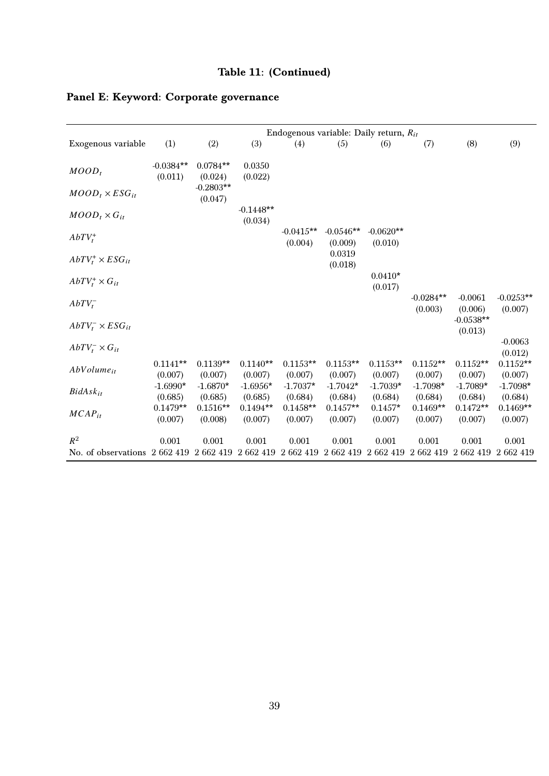|                                                                                 |             |             |             | Endogenous variable: Daily return, $R_{it}$ |                   |             |             |             |             |
|---------------------------------------------------------------------------------|-------------|-------------|-------------|---------------------------------------------|-------------------|-------------|-------------|-------------|-------------|
| Exogenous variable                                                              | (1)         | (2)         | (3)         | (4)                                         | (5)               | (6)         | (7)         | (8)         | (9)         |
|                                                                                 | $-0.0384**$ | $0.0784**$  | 0.0350      |                                             |                   |             |             |             |             |
| $MOD_t$                                                                         | (0.011)     | (0.024)     | (0.022)     |                                             |                   |             |             |             |             |
|                                                                                 |             | $-0.2803**$ |             |                                             |                   |             |             |             |             |
| $MOD_t \times ESG_{it}$                                                         |             | (0.047)     |             |                                             |                   |             |             |             |             |
|                                                                                 |             |             | $-0.1448**$ |                                             |                   |             |             |             |             |
| $MOD_t \times G_{it}$                                                           |             |             |             |                                             |                   |             |             |             |             |
|                                                                                 |             |             | (0.034)     | $-0.0415**$                                 | $-0.0546**$       | $-0.0620**$ |             |             |             |
| $AbTV_t^+$                                                                      |             |             |             |                                             |                   |             |             |             |             |
|                                                                                 |             |             |             | (0.004)                                     | (0.009)<br>0.0319 | (0.010)     |             |             |             |
| $AbTV_t^+ \times ESG_{it}$                                                      |             |             |             |                                             | (0.018)           |             |             |             |             |
|                                                                                 |             |             |             |                                             |                   | $0.0410*$   |             |             |             |
| $AbTV_t^+ \times G_{it}$                                                        |             |             |             |                                             |                   |             |             |             |             |
|                                                                                 |             |             |             |                                             |                   | (0.017)     |             |             |             |
| $AbTV_t^-$                                                                      |             |             |             |                                             |                   |             | $-0.0284**$ | $-0.0061$   | $-0.0253**$ |
|                                                                                 |             |             |             |                                             |                   |             | (0.003)     | (0.006)     | (0.007)     |
| $AbTV_t^- \times ESG_{it}$                                                      |             |             |             |                                             |                   |             |             | $-0.0538**$ |             |
|                                                                                 |             |             |             |                                             |                   |             |             | (0.013)     |             |
| $AbTV_t^- \times G_{it}$                                                        |             |             |             |                                             |                   |             |             |             | $-0.0063$   |
|                                                                                 |             |             |             |                                             |                   |             |             |             | (0.012)     |
| $AbVolume_{it}$                                                                 | $0.1141**$  | $0.1139**$  | $0.1140**$  | $0.1153**$                                  | $0.1153**$        | $0.1153**$  | $0.1152**$  | $0.1152**$  | $0.1152**$  |
|                                                                                 | (0.007)     | (0.007)     | (0.007)     | (0.007)                                     | (0.007)           | (0.007)     | (0.007)     | (0.007)     | (0.007)     |
| $BidAsk_{it}$                                                                   | $-1.6990*$  | $-1.6870*$  | $-1.6956*$  | $-1.7037*$                                  | $-1.7042*$        | $-1.7039*$  | $-1.7098*$  | $-1.7089*$  | $-1.7098*$  |
|                                                                                 | (0.685)     | (0.685)     | (0.685)     | (0.684)                                     | (0.684)           | (0.684)     | (0.684)     | (0.684)     | (0.684)     |
| $MCAP_{it}$                                                                     | $0.1479**$  | $0.1516**$  | $0.1494**$  | $0.1458**$                                  | $0.1457**$        | $0.1457*$   | $0.1469**$  | $0.1472**$  | $0.1469**$  |
|                                                                                 | (0.007)     | (0.008)     | (0.007)     | (0.007)                                     | (0.007)           | (0.007)     | (0.007)     | (0.007)     | (0.007)     |
| $R^2$                                                                           |             |             |             |                                             |                   |             |             |             |             |
|                                                                                 | 0.001       | 0.001       | 0.001       | 0.001                                       | 0.001             | 0.001       | 0.001       | 0.001       | 0.001       |
| No. of observations 2 662 419 2 662 419 2 662 419 2 662 419 2 662 419 2 662 419 |             |             |             |                                             |                   |             | 2 662 419   | 2 662 419   | 2 662 419   |

# Panel E: Keyword: Corporate governance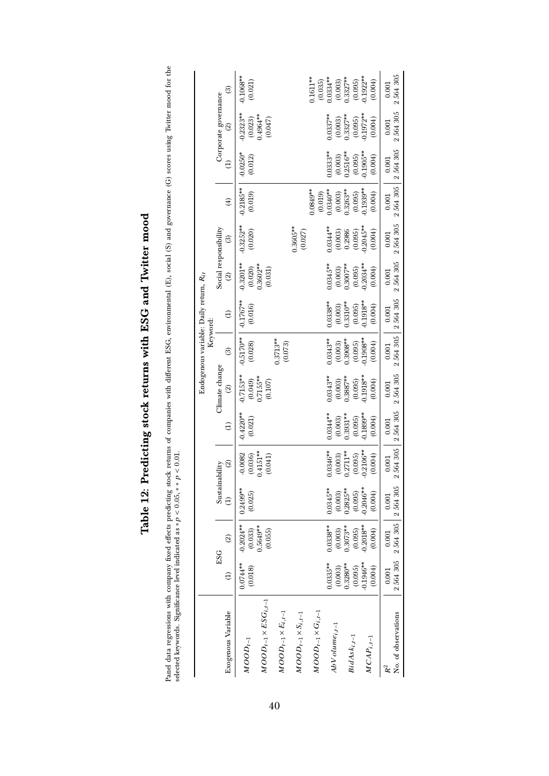|                                        |                       | ම                        | $0.1068**$<br>(0.021)  |                                     |                              |                              | $0.1611**$                   | $(0.035)$<br>$0.0334**$ |                        | $(0.003)$<br>$0.3327**$ | $(0.095)$<br>0.1922**    | (0.004)                 | 2564305<br>0.001                      |
|----------------------------------------|-----------------------|--------------------------|------------------------|-------------------------------------|------------------------------|------------------------------|------------------------------|-------------------------|------------------------|-------------------------|--------------------------|-------------------------|---------------------------------------|
|                                        | Corporate governance  | $\widehat{\infty}$       | $0.2323**$             | $(0.023)$<br>0.4964**<br>(0.047)    |                              |                              |                              |                         | $0.0337**$             | $(0.003)$<br>$0.3327**$ | $(0.095)$<br>$0.1972**$  | (0.004)                 | 2564305<br>0.001                      |
|                                        |                       | $\widehat{\Xi}$          | $-0.0250*$<br>(0.012)  |                                     |                              |                              |                              |                         | $0.0333**$             | $(0.003)$<br>$0.2516**$ | $(0.095)$<br>0.1905**    | (0.004)                 | 0.001                                 |
|                                        |                       | $\bigoplus$              | $-0.2185**$<br>(0.019) |                                     |                              |                              | $0.0849**$                   | $(0.019)$<br>$0.0340**$ |                        | $(0.003)$<br>$0.3263**$ | $(0.095)$<br>0.1939**    | (0.004)                 | 2 564 305 2 564 305<br>0.001          |
|                                        |                       | $\widehat{\mathfrak{S}}$ | $0.3252**$<br>(0.020)  |                                     |                              | $0.3605***$<br>(0.027)       |                              |                         | $0.0344***$            | $(0.003)$<br>$0.2986$   | (0.095)                  | $0.2045**$<br>(0.004)   | 0.001                                 |
|                                        | Social responsibility | $\widehat{2}$            | $0.3201**$             | $(0.020)$<br>$0.3602***$<br>(0.031) |                              |                              |                              |                         | $0.0345***$            | $(0.003)$<br>$0.3007**$ | $(0.095)$<br>$0.2034***$ | (0.004)                 | 2 564 305 2 564 305<br>0.001          |
| Endogenous variable: Daily return, Rit |                       | $\widehat{\Xi}$          | $-0.1767**$<br>(0.016) |                                     |                              |                              |                              |                         | $0.0338***$            | $(0.003)$<br>$0.3310**$ | $(0.095)$<br>$-0.1918**$ | (0.004)                 | 2564305 2564305<br>0.001              |
| Keyword:                               |                       | $\widehat{\mathfrak{S}}$ | $0.5170**$<br>(0.028)  |                                     | $0.3713**$<br>(0.073)        |                              |                              |                         | $0.0343**$             | $(0.003)$<br>$0.3908**$ | $(0.095)$<br>$-0.1908**$ | (0.004)                 | 0.001                                 |
|                                        | Climate change        | $\widehat{\infty}$       | $0.7153**$             | $(0.049)$<br>$0.7155**$<br>(0.107)  |                              |                              |                              |                         | $0.0343**$             | $(0.003)$<br>$0.3887**$ | (0.095)                  | $0.1918***$<br>(0.004)  | 2564305<br>0.001                      |
|                                        |                       | $\ominus$                | $-0.4220**$<br>(0.021) |                                     |                              |                              |                              |                         | $0.0344***$            | $(0.003)$<br>$0.3931**$ | (0.095)                  | $0.1899**$<br>(0.004)   | 2564305<br>0.001                      |
|                                        | Sustainability        | $\widehat{\mathfrak{D}}$ | $-0.0082$<br>(0.036)   | $0.4151**$<br>(0.041)               |                              |                              |                              |                         | $0.0346**$<br>(0.003)  | $0.2711**$              | (0.095)                  | $0.2106**$<br>(0.004)   | 2 564 305<br>0.001                    |
|                                        |                       | Ê                        | $0.2499**$<br>(0.025)  |                                     |                              |                              |                              |                         | $0.0345**$             | $(0.003)$<br>$0.2825**$ | (0.095)                  | $0.2046**$<br>(0.004)   | 2564305<br>0.001                      |
|                                        | <b>ESG</b>            | $\widehat{\mathfrak{D}}$ | $-0.2024***$           | $(0.033)$<br>$0.5649**$<br>(0.055)  |                              |                              |                              |                         | $0.0338***$<br>(0.003) | $0.3073**$              | (0.095)                  | $-0.2018***$<br>(0.004) | 2564305<br>0.001                      |
|                                        |                       | $\widehat{\Xi}$          | $0.0744***$<br>(0.018) |                                     |                              |                              |                              |                         | $0.0335***$<br>(0.003) | $0.3280**$              | (0.095)                  | $-0.1946**$<br>(0.004)  | 2564305<br>0.001                      |
|                                        |                       | Exogenous Variable       | $MOOD_{t-1}$           | $MOOD_{t-1}\times ESG_{i,t-1}$      | $MOOD_{t-1}\times E_{i,t-1}$ | $MOOD_{t-1}\times S_{i,t-1}$ | $MOOD_{t-1}\times G_{i,t-1}$ |                         | $AbVolume_{i,t-1}$     | $BidAsk_{i,t-1}$        |                          | $MCAP_{i,t-1}$          | No. of observations<br>R <sup>2</sup> |

# Table 12: Predicting stock returns with ESG and Twitter mood Table 12: Predicting stock returns with ESG and Twitter mood

<span id="page-39-0"></span>Panel data regressions with company fixed effects predicting stock returns of companies with different ESG, environmental (E), social (S) and governance (G) scores using Twitter mood for the selected keywords. Significanc Panel data regressions with company fixed effects predicting stock returns of companies with different ESG, environmental (E), social (S) and governance (G) scores using Twitter mood for the selected keywords. Significance level indicated as  $\ast p < 0.05, \ast \ast p < 0.01$ .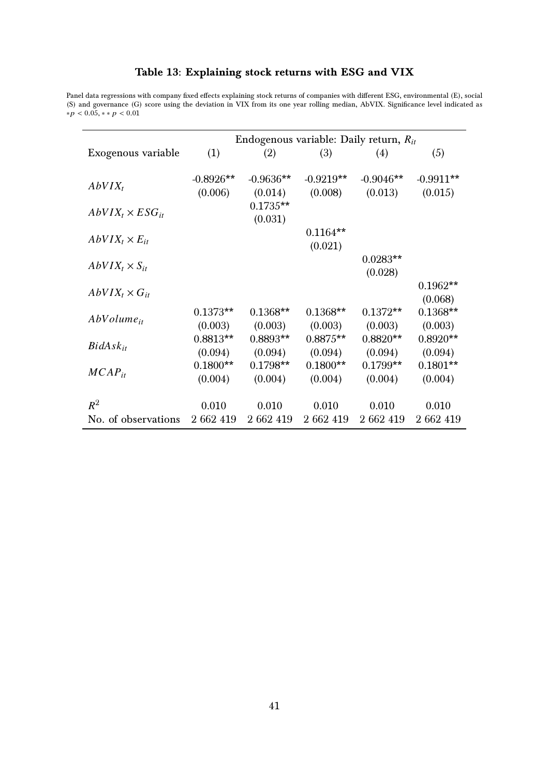|                           | Endogenous variable: Daily return, $R_{it}$ |                        |                        |                        |                        |  |  |  |  |  |
|---------------------------|---------------------------------------------|------------------------|------------------------|------------------------|------------------------|--|--|--|--|--|
| Exogenous variable        | (1)                                         | (2)                    | (3)                    | (4)                    | (5)                    |  |  |  |  |  |
| $AbVIX_t$                 | $-0.8926**$<br>(0.006)                      | $-0.9636**$<br>(0.014) | $-0.9219**$<br>(0.008) | $-0.9046**$<br>(0.013) | $-0.9911**$<br>(0.015) |  |  |  |  |  |
| $AbVIX_t \times ESG_{it}$ |                                             | $0.1735**$<br>(0.031)  |                        |                        |                        |  |  |  |  |  |
| $AbVIX_t \times E_{it}$   |                                             |                        | $0.1164**$<br>(0.021)  |                        |                        |  |  |  |  |  |
| $AbVIX_t \times S_{it}$   |                                             |                        |                        | $0.0283**$<br>(0.028)  |                        |  |  |  |  |  |
| $AbVIX_t \times G_{it}$   |                                             |                        |                        |                        | $0.1962**$<br>(0.068)  |  |  |  |  |  |
| $AbVolume_{it}$           | $0.1373**$<br>(0.003)                       | $0.1368**$<br>(0.003)  | $0.1368**$<br>(0.003)  | $0.1372**$<br>(0.003)  | $0.1368**$<br>(0.003)  |  |  |  |  |  |
| $BidAsk_{it}$             | $0.8813**$<br>(0.094)                       | $0.8893**$<br>(0.094)  | $0.8875**$<br>(0.094)  | $0.8820**$<br>(0.094)  | $0.8920**$<br>(0.094)  |  |  |  |  |  |
| $MCAP_{it}$               | $0.1800**$<br>(0.004)                       | $0.1798**$<br>(0.004)  | $0.1800**$<br>(0.004)  | $0.1799**$<br>(0.004)  | $0.1801**$<br>(0.004)  |  |  |  |  |  |
| $R^2$                     | 0.010                                       | 0.010                  | 0.010                  | 0.010                  | 0.010                  |  |  |  |  |  |
| No. of observations       | 2 662 419                                   | 2 662 419              | 2 662 419              | 2 662 419              | 2 662 419              |  |  |  |  |  |

#### Table 13: Explaining stock returns with ESG and VIX

<span id="page-40-0"></span>Panel data regressions with company fixed effects explaining stock returns of companies with different ESG, environmental (E), social (S) and governance (G) score using the deviation in VIX from its one year rolling median, AbVIX. Significance level indicated as  $*p < 0.05, **p < 0.01$ 

41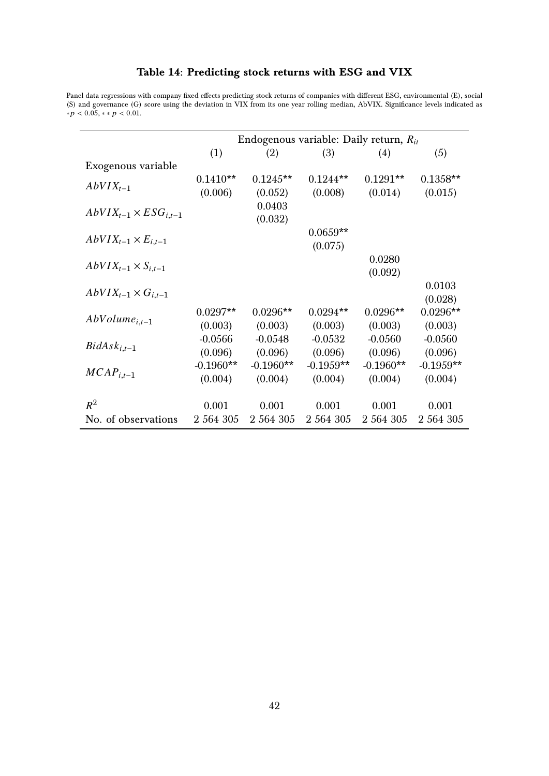|                                  | Endogenous variable: Daily return, $R_{it}$ |             |             |             |             |  |  |  |  |  |  |
|----------------------------------|---------------------------------------------|-------------|-------------|-------------|-------------|--|--|--|--|--|--|
|                                  | (1)                                         | (2)         | (3)         | (4)         | (5)         |  |  |  |  |  |  |
| Exogenous variable               |                                             |             |             |             |             |  |  |  |  |  |  |
| $AbVIX_{t-1}$                    | $0.1410**$                                  | $0.1245**$  | $0.1244**$  | $0.1291**$  | $0.1358**$  |  |  |  |  |  |  |
|                                  | (0.006)                                     | (0.052)     | (0.008)     | (0.014)     | (0.015)     |  |  |  |  |  |  |
| $AbVIX_{t-1} \times ESG_{i,t-1}$ |                                             | 0.0403      |             |             |             |  |  |  |  |  |  |
|                                  |                                             | (0.032)     | $0.0659**$  |             |             |  |  |  |  |  |  |
| $AbVIX_{t-1} \times E_{i,t-1}$   |                                             |             | (0.075)     |             |             |  |  |  |  |  |  |
|                                  |                                             |             |             | 0.0280      |             |  |  |  |  |  |  |
| $AbVIX_{t-1} \times S_{i,t-1}$   |                                             |             |             | (0.092)     |             |  |  |  |  |  |  |
| $AbVIX_{t-1}\times G_{i,t-1}$    |                                             |             |             |             | 0.0103      |  |  |  |  |  |  |
|                                  |                                             |             |             |             | (0.028)     |  |  |  |  |  |  |
| $AbVolume_{i,t-1}$               | $0.0297**$                                  | $0.0296**$  | $0.0294**$  | $0.0296**$  | $0.0296**$  |  |  |  |  |  |  |
|                                  | (0.003)                                     | (0.003)     | (0.003)     | (0.003)     | (0.003)     |  |  |  |  |  |  |
| $BidAsk_{i,t-1}$                 | $-0.0566$                                   | $-0.0548$   | $-0.0532$   | $-0.0560$   | $-0.0560$   |  |  |  |  |  |  |
|                                  | (0.096)                                     | (0.096)     | (0.096)     | (0.096)     | (0.096)     |  |  |  |  |  |  |
| $MCAP_{i,t-1}$                   | $-0.1960**$                                 | $-0.1960**$ | $-0.1959**$ | $-0.1960**$ | $-0.1959**$ |  |  |  |  |  |  |
|                                  | (0.004)                                     | (0.004)     | (0.004)     | (0.004)     | (0.004)     |  |  |  |  |  |  |
| $R^2$                            | 0.001                                       | 0.001       | 0.001       | 0.001       | 0.001       |  |  |  |  |  |  |
| No. of observations              | 2 564 305                                   | 2 564 305   | 2 564 305   | 2 564 305   | 2 564 305   |  |  |  |  |  |  |
|                                  |                                             |             |             |             |             |  |  |  |  |  |  |

#### Table 14: Predicting stock returns with ESG and VIX

<span id="page-41-0"></span>Panel data regressions with company fixed effects predicting stock returns of companies with different ESG, environmental (E), social (S) and governance (G) score using the deviation in VIX from its one year rolling median, AbVIX. Significance levels indicated as  $*p < 0.05, **p < 0.01$ .

42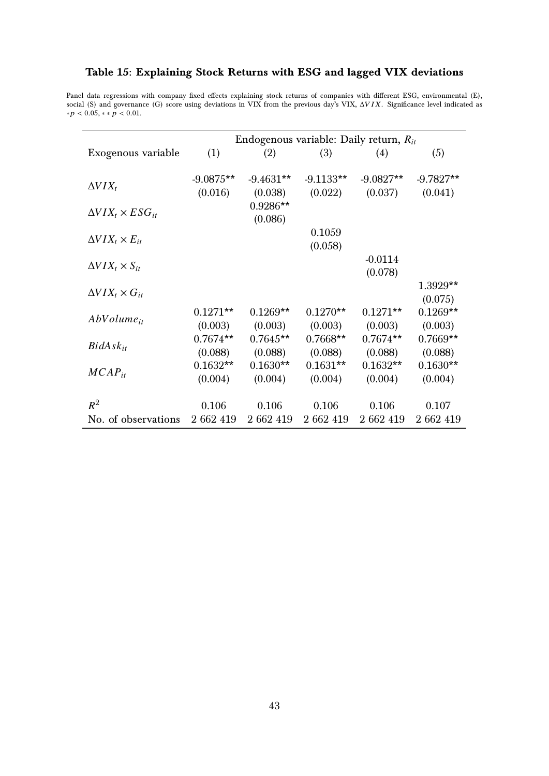|                                | Endogenous variable: Daily return, $R_{it}$ |             |             |             |             |  |  |  |  |  |  |
|--------------------------------|---------------------------------------------|-------------|-------------|-------------|-------------|--|--|--|--|--|--|
| Exogenous variable             | (1)                                         | (2)         | (3)         | (4)         | (5)         |  |  |  |  |  |  |
|                                |                                             |             |             |             |             |  |  |  |  |  |  |
| $\Delta VIX_t$                 | $-9.0875**$                                 | $-9.4631**$ | $-9.1133**$ | $-9.0827**$ | $-9.7827**$ |  |  |  |  |  |  |
|                                | (0.016)                                     | (0.038)     | (0.022)     | (0.037)     | (0.041)     |  |  |  |  |  |  |
| $\Delta VIX_t \times ESG_{it}$ |                                             | $0.9286**$  |             |             |             |  |  |  |  |  |  |
|                                |                                             | (0.086)     |             |             |             |  |  |  |  |  |  |
| $\Delta VIX_t \times E_{it}$   |                                             |             | 0.1059      |             |             |  |  |  |  |  |  |
|                                |                                             |             | (0.058)     |             |             |  |  |  |  |  |  |
| $\Delta VIX_t \times S_{it}$   |                                             |             |             | $-0.0114$   |             |  |  |  |  |  |  |
|                                |                                             |             |             | (0.078)     |             |  |  |  |  |  |  |
| $\Delta VIX_t \times G_{it}$   |                                             |             |             |             | 1.3929**    |  |  |  |  |  |  |
|                                |                                             |             |             |             | (0.075)     |  |  |  |  |  |  |
| $AbVolume_{it}$                | $0.1271**$                                  | $0.1269**$  | $0.1270**$  | $0.1271**$  | $0.1269**$  |  |  |  |  |  |  |
|                                | (0.003)                                     | (0.003)     | (0.003)     | (0.003)     | (0.003)     |  |  |  |  |  |  |
| $BidAsk_{it}$                  | $0.7674**$                                  | $0.7645**$  | $0.7668**$  | $0.7674**$  | $0.7669**$  |  |  |  |  |  |  |
|                                | (0.088)                                     | (0.088)     | (0.088)     | (0.088)     | (0.088)     |  |  |  |  |  |  |
| $MCAP_{it}$                    | $0.1632**$                                  | $0.1630**$  | $0.1631**$  | $0.1632**$  | $0.1630**$  |  |  |  |  |  |  |
|                                | (0.004)                                     | (0.004)     | (0.004)     | (0.004)     | (0.004)     |  |  |  |  |  |  |
| $R^2$                          | 0.106                                       | 0.106       | 0.106       | 0.106       | 0.107       |  |  |  |  |  |  |
| No. of observations            | 2 662 419                                   | 2 662 419   | 2 662 419   | 2 662 419   | 2 662 419   |  |  |  |  |  |  |
|                                |                                             |             |             |             |             |  |  |  |  |  |  |

#### <span id="page-42-0"></span>Table 15: Explaining Stock Returns with ESG and lagged VIX deviations

Panel data regressions with company fixed effects explaining stock returns of companies with different ESG, environmental (E),<br>social (S) and governance (G) score using deviations in VIX from the previous day's VIX, ΔV*IX* 

 $* p < 0.05, ** p < 0.01.$